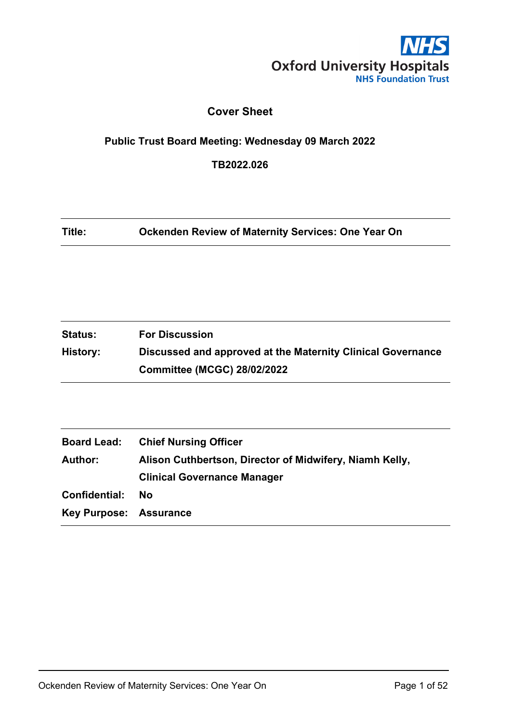

### **Cover Sheet**

### <span id="page-0-0"></span>**Public Trust Board Meeting: Wednesday 09 March 2022**

**TB2022.026**

**Title: Ockenden Review of Maternity Services: One Year On**

| <b>Status:</b> | <b>For Discussion</b>                                       |
|----------------|-------------------------------------------------------------|
| History:       | Discussed and approved at the Maternity Clinical Governance |
|                | <b>Committee (MCGC) 28/02/2022</b>                          |

| <b>Board Lead:</b>            | <b>Chief Nursing Officer</b>                            |
|-------------------------------|---------------------------------------------------------|
| <b>Author:</b>                | Alison Cuthbertson, Director of Midwifery, Niamh Kelly, |
|                               | <b>Clinical Governance Manager</b>                      |
| Confidential:                 | <b>No</b>                                               |
| <b>Key Purpose: Assurance</b> |                                                         |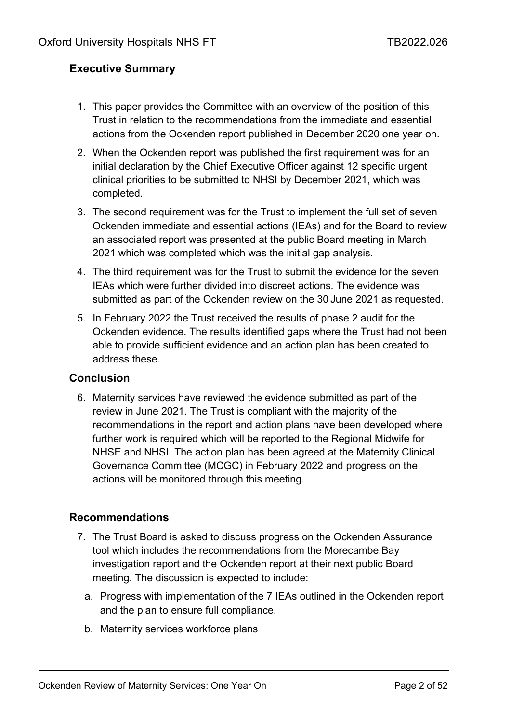### <span id="page-1-0"></span>**Executive Summary**

- 1. This paper provides the Committee with an overview of the position of this Trust in relation to the recommendations from the immediate and essential actions from the Ockenden report published in December 2020 one year on.
- 2. When the Ockenden report was published the first requirement was for an initial declaration by the Chief Executive Officer against 12 specific urgent clinical priorities to be submitted to NHSI by December 2021, which was completed.
- 3. The second requirement was for the Trust to implement the full set of seven Ockenden immediate and essential actions (IEAs) and for the Board to review an associated report was presented at the public Board meeting in March 2021 which was completed which was the initial gap analysis.
- 4. The third requirement was for the Trust to submit the evidence for the seven IEAs which were further divided into discreet actions. The evidence was submitted as part of the Ockenden review on the 30 June 2021 as requested.
- 5. In February 2022 the Trust received the results of phase 2 audit for the Ockenden evidence. The results identified gaps where the Trust had not been able to provide sufficient evidence and an action plan has been created to address these.

### <span id="page-1-1"></span>**Conclusion**

6. Maternity services have reviewed the evidence submitted as part of the review in June 2021. The Trust is compliant with the majority of the recommendations in the report and action plans have been developed where further work is required which will be reported to the Regional Midwife for NHSE and NHSI. The action plan has been agreed at the Maternity Clinical Governance Committee (MCGC) in February 2022 and progress on the actions will be monitored through this meeting.

### **Recommendations**

- 7. The Trust Board is asked to discuss progress on the Ockenden Assurance tool which includes the recommendations from the Morecambe Bay investigation report and the Ockenden report at their next public Board meeting. The discussion is expected to include:
	- a. Progress with implementation of the 7 IEAs outlined in the Ockenden report and the plan to ensure full compliance.
	- b. Maternity services workforce plans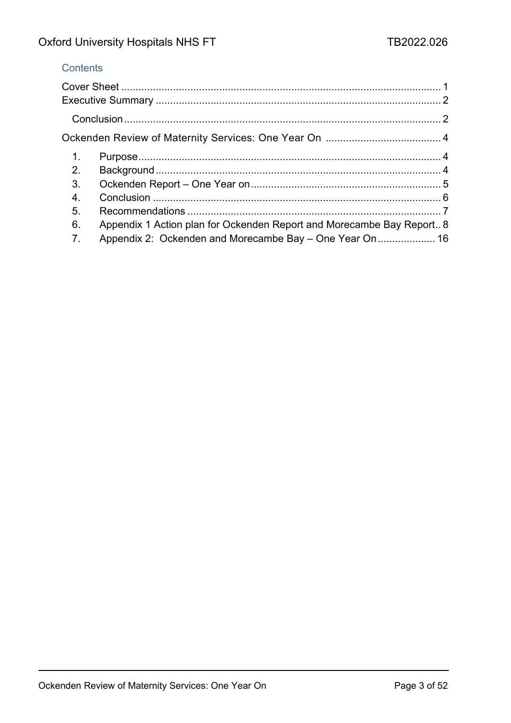### **Contents**

| 1. |                                                                       |  |
|----|-----------------------------------------------------------------------|--|
| 2. |                                                                       |  |
| 3. |                                                                       |  |
| 4. |                                                                       |  |
| 5. |                                                                       |  |
| 6. | Appendix 1 Action plan for Ockenden Report and Morecambe Bay Report 8 |  |
| 7. | Appendix 2: Ockenden and Morecambe Bay – One Year On 16               |  |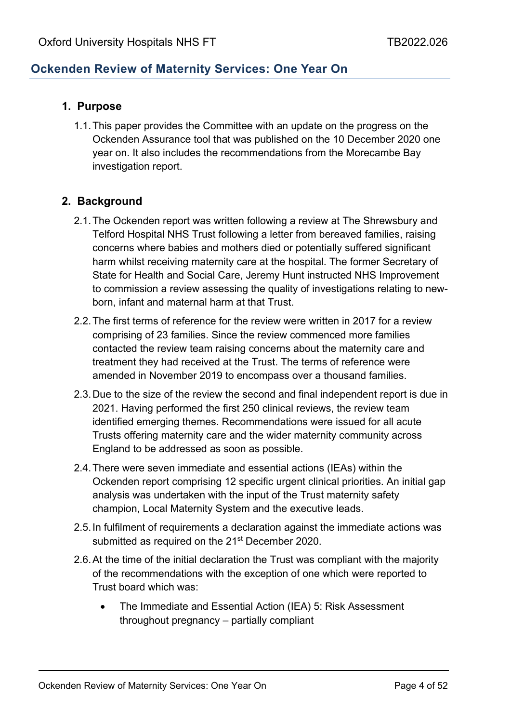### <span id="page-3-0"></span>**Ockenden Review of Maternity Services: One Year On**

### <span id="page-3-1"></span>**1. Purpose**

1.1.This paper provides the Committee with an update on the progress on the Ockenden Assurance tool that was published on the 10 December 2020 one year on. It also includes the recommendations from the Morecambe Bay investigation report.

### <span id="page-3-2"></span>**2. Background**

- 2.1.The Ockenden report was written following a review at The Shrewsbury and Telford Hospital NHS Trust following a letter from bereaved families, raising concerns where babies and mothers died or potentially suffered significant harm whilst receiving maternity care at the hospital. The former Secretary of State for Health and Social Care, Jeremy Hunt instructed NHS Improvement to commission a review assessing the quality of investigations relating to newborn, infant and maternal harm at that Trust.
- 2.2.The first terms of reference for the review were written in 2017 for a review comprising of 23 families. Since the review commenced more families contacted the review team raising concerns about the maternity care and treatment they had received at the Trust. The terms of reference were amended in November 2019 to encompass over a thousand families.
- 2.3.Due to the size of the review the second and final independent report is due in 2021. Having performed the first 250 clinical reviews, the review team identified emerging themes. Recommendations were issued for all acute Trusts offering maternity care and the wider maternity community across England to be addressed as soon as possible.
- 2.4.There were seven immediate and essential actions (IEAs) within the Ockenden report comprising 12 specific urgent clinical priorities. An initial gap analysis was undertaken with the input of the Trust maternity safety champion, Local Maternity System and the executive leads.
- 2.5.In fulfilment of requirements a declaration against the immediate actions was submitted as required on the 21<sup>st</sup> December 2020.
- 2.6.At the time of the initial declaration the Trust was compliant with the majority of the recommendations with the exception of one which were reported to Trust board which was:
	- The Immediate and Essential Action (IEA) 5: Risk Assessment throughout pregnancy – partially compliant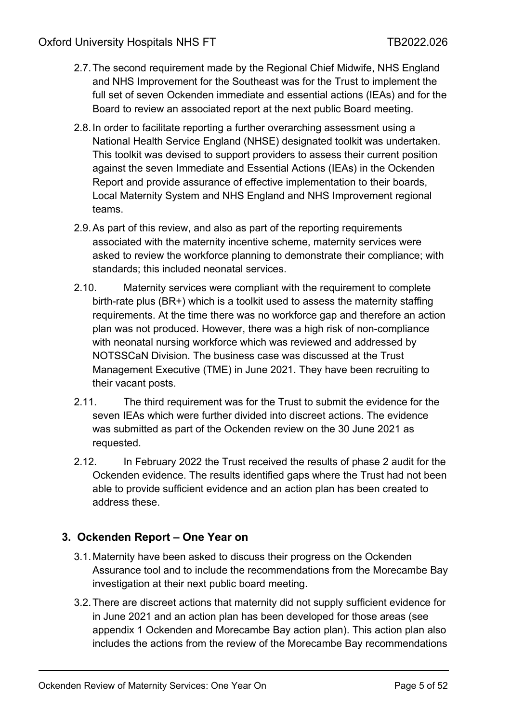- 2.7.The second requirement made by the Regional Chief Midwife, NHS England and NHS Improvement for the Southeast was for the Trust to implement the full set of seven Ockenden immediate and essential actions (IEAs) and for the Board to review an associated report at the next public Board meeting.
- 2.8.In order to facilitate reporting a further overarching assessment using a National Health Service England (NHSE) designated toolkit was undertaken. This toolkit was devised to support providers to assess their current position against the seven Immediate and Essential Actions (IEAs) in the Ockenden Report and provide assurance of effective implementation to their boards, Local Maternity System and NHS England and NHS Improvement regional teams.
- 2.9.As part of this review, and also as part of the reporting requirements associated with the maternity incentive scheme, maternity services were asked to review the workforce planning to demonstrate their compliance; with standards; this included neonatal services.
- 2.10. Maternity services were compliant with the requirement to complete birth-rate plus (BR+) which is a toolkit used to assess the maternity staffing requirements. At the time there was no workforce gap and therefore an action plan was not produced. However, there was a high risk of non-compliance with neonatal nursing workforce which was reviewed and addressed by NOTSSCaN Division. The business case was discussed at the Trust Management Executive (TME) in June 2021. They have been recruiting to their vacant posts.
- 2.11. The third requirement was for the Trust to submit the evidence for the seven IEAs which were further divided into discreet actions. The evidence was submitted as part of the Ockenden review on the 30 June 2021 as requested.
- 2.12. In February 2022 the Trust received the results of phase 2 audit for the Ockenden evidence. The results identified gaps where the Trust had not been able to provide sufficient evidence and an action plan has been created to address these.

### <span id="page-4-0"></span>**3. Ockenden Report – One Year on**

- 3.1.Maternity have been asked to discuss their progress on the Ockenden Assurance tool and to include the recommendations from the Morecambe Bay investigation at their next public board meeting.
- 3.2.There are discreet actions that maternity did not supply sufficient evidence for in June 2021 and an action plan has been developed for those areas (see appendix 1 Ockenden and Morecambe Bay action plan). This action plan also includes the actions from the review of the Morecambe Bay recommendations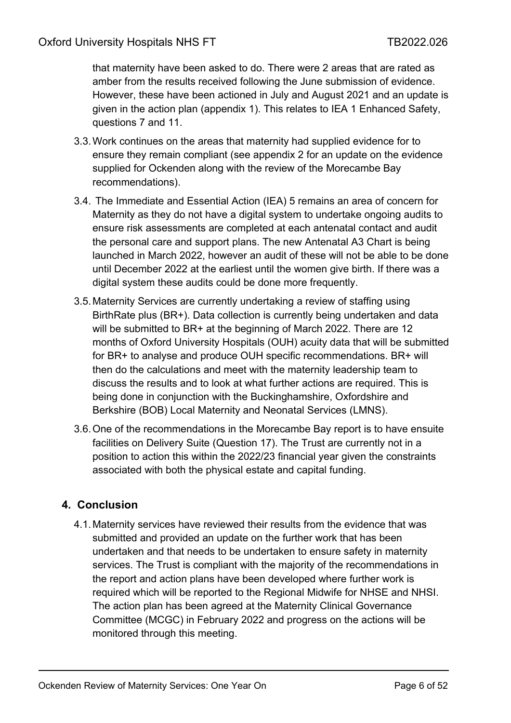that maternity have been asked to do. There were 2 areas that are rated as amber from the results received following the June submission of evidence. However, these have been actioned in July and August 2021 and an update is given in the action plan (appendix 1). This relates to IEA 1 Enhanced Safety, questions 7 and 11.

- 3.3.Work continues on the areas that maternity had supplied evidence for to ensure they remain compliant (see appendix 2 for an update on the evidence supplied for Ockenden along with the review of the Morecambe Bay recommendations).
- 3.4. The Immediate and Essential Action (IEA) 5 remains an area of concern for Maternity as they do not have a digital system to undertake ongoing audits to ensure risk assessments are completed at each antenatal contact and audit the personal care and support plans. The new Antenatal A3 Chart is being launched in March 2022, however an audit of these will not be able to be done until December 2022 at the earliest until the women give birth. If there was a digital system these audits could be done more frequently.
- 3.5.Maternity Services are currently undertaking a review of staffing using BirthRate plus (BR+). Data collection is currently being undertaken and data will be submitted to BR+ at the beginning of March 2022. There are 12 months of Oxford University Hospitals (OUH) acuity data that will be submitted for BR+ to analyse and produce OUH specific recommendations. BR+ will then do the calculations and meet with the maternity leadership team to discuss the results and to look at what further actions are required. This is being done in conjunction with the Buckinghamshire, Oxfordshire and Berkshire (BOB) Local Maternity and Neonatal Services (LMNS).
- 3.6.One of the recommendations in the Morecambe Bay report is to have ensuite facilities on Delivery Suite (Question 17). The Trust are currently not in a position to action this within the 2022/23 financial year given the constraints associated with both the physical estate and capital funding.

### <span id="page-5-0"></span>**4. Conclusion**

4.1.Maternity services have reviewed their results from the evidence that was submitted and provided an update on the further work that has been undertaken and that needs to be undertaken to ensure safety in maternity services. The Trust is compliant with the majority of the recommendations in the report and action plans have been developed where further work is required which will be reported to the Regional Midwife for NHSE and NHSI. The action plan has been agreed at the Maternity Clinical Governance Committee (MCGC) in February 2022 and progress on the actions will be monitored through this meeting.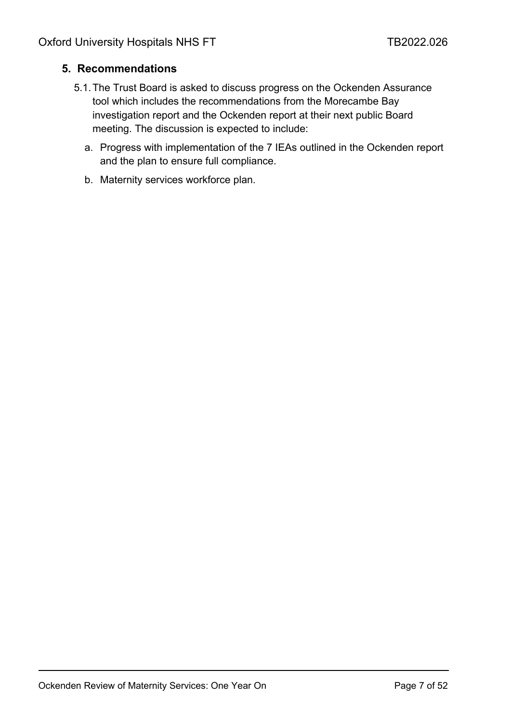### <span id="page-6-0"></span>**5. Recommendations**

- 5.1.The Trust Board is asked to discuss progress on the Ockenden Assurance tool which includes the recommendations from the Morecambe Bay investigation report and the Ockenden report at their next public Board meeting. The discussion is expected to include:
	- a. Progress with implementation of the 7 IEAs outlined in the Ockenden report and the plan to ensure full compliance.
	- b. Maternity services workforce plan.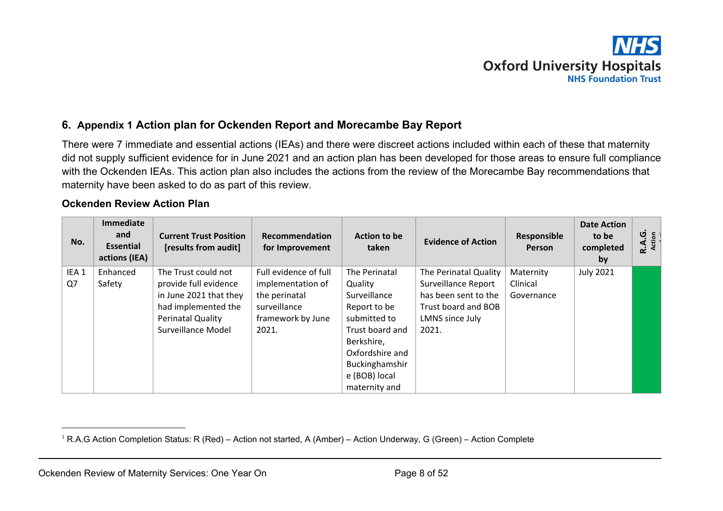# **Oxford University Hospitals NHS Foundation Trust**

### **6. Appendix 1 Action plan for Ockenden Report and Morecambe Bay Report**

There were 7 immediate and essential actions (IEAs) and there were discreet actions included within each of these that maternity did not supply sufficient evidence for in June 2021 and an action plan has been developed for those areas to ensure full compliance with the Ockenden IEAs. This action plan also includes the actions from the review of the Morecambe Bay recommendations that maternity have been asked to do as part of this review.

### **Ockenden Review Action Plan**

<span id="page-7-0"></span>

| No.                    | Immediate<br>and<br><b>Essential</b><br>actions (IEA) | <b>Current Trust Position</b><br>[results from audit]                                                                                           | Recommendation<br>for Improvement                                                                         | <b>Action to be</b><br>taken                                                                                                                   | <b>Evidence of Action</b>                                                                                                      | Responsible<br><b>Person</b>        | <b>Date Action</b><br>to be<br>completed<br>by | R.A.G.<br>Action |
|------------------------|-------------------------------------------------------|-------------------------------------------------------------------------------------------------------------------------------------------------|-----------------------------------------------------------------------------------------------------------|------------------------------------------------------------------------------------------------------------------------------------------------|--------------------------------------------------------------------------------------------------------------------------------|-------------------------------------|------------------------------------------------|------------------|
| IEA <sub>1</sub><br>Q7 | Enhanced<br>Safety                                    | The Trust could not<br>provide full evidence<br>in June 2021 that they<br>had implemented the<br><b>Perinatal Quality</b><br>Surveillance Model | Full evidence of full<br>implementation of<br>the perinatal<br>surveillance<br>framework by June<br>2021. | The Perinatal<br>Quality<br>Surveillance<br>Report to be<br>submitted to<br>Trust board and<br>Berkshire,<br>Oxfordshire and<br>Buckinghamshir | The Perinatal Quality<br><b>Surveillance Report</b><br>has been sent to the<br>Trust board and BOB<br>LMNS since July<br>2021. | Maternity<br>Clinical<br>Governance | <b>July 2021</b>                               |                  |
|                        |                                                       |                                                                                                                                                 |                                                                                                           | e (BOB) local<br>maternity and                                                                                                                 |                                                                                                                                |                                     |                                                |                  |

<sup>&</sup>lt;sup>1</sup> R.A.G Action Completion Status: R (Red) – Action not started, A (Amber) – Action Underway, G (Green) – Action Complete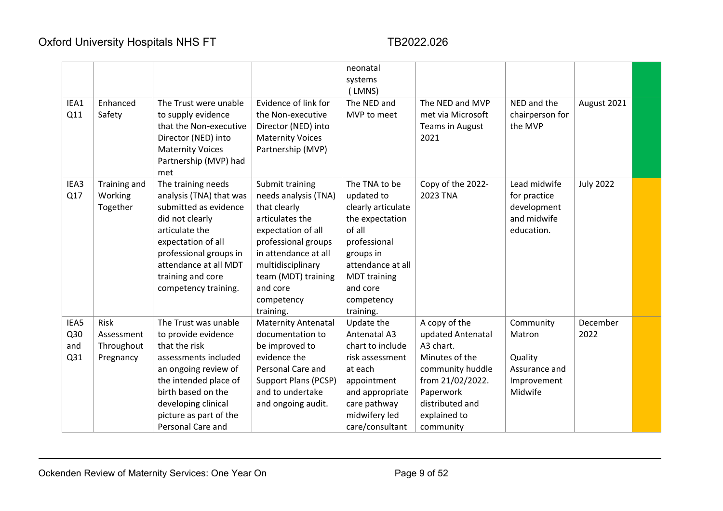|      |              |                         |                            | neonatal            |                   |                 |                  |  |
|------|--------------|-------------------------|----------------------------|---------------------|-------------------|-----------------|------------------|--|
|      |              |                         |                            | systems             |                   |                 |                  |  |
|      |              |                         |                            | (LMNS)              |                   |                 |                  |  |
| IEA1 | Enhanced     | The Trust were unable   | Evidence of link for       | The NED and         | The NED and MVP   | NED and the     | August 2021      |  |
| Q11  | Safety       | to supply evidence      | the Non-executive          | MVP to meet         | met via Microsoft | chairperson for |                  |  |
|      |              | that the Non-executive  | Director (NED) into        |                     | Teams in August   | the MVP         |                  |  |
|      |              | Director (NED) into     | <b>Maternity Voices</b>    |                     | 2021              |                 |                  |  |
|      |              | <b>Maternity Voices</b> | Partnership (MVP)          |                     |                   |                 |                  |  |
|      |              | Partnership (MVP) had   |                            |                     |                   |                 |                  |  |
|      |              | met                     |                            |                     |                   |                 |                  |  |
| IEA3 | Training and | The training needs      | Submit training            | The TNA to be       | Copy of the 2022- | Lead midwife    | <b>July 2022</b> |  |
| Q17  | Working      | analysis (TNA) that was | needs analysis (TNA)       | updated to          | 2023 TNA          | for practice    |                  |  |
|      | Together     | submitted as evidence   | that clearly               | clearly articulate  |                   | development     |                  |  |
|      |              | did not clearly         | articulates the            | the expectation     |                   | and midwife     |                  |  |
|      |              | articulate the          | expectation of all         | of all              |                   | education.      |                  |  |
|      |              | expectation of all      | professional groups        | professional        |                   |                 |                  |  |
|      |              | professional groups in  | in attendance at all       | groups in           |                   |                 |                  |  |
|      |              | attendance at all MDT   | multidisciplinary          | attendance at all   |                   |                 |                  |  |
|      |              | training and core       | team (MDT) training        | <b>MDT</b> training |                   |                 |                  |  |
|      |              | competency training.    | and core                   | and core            |                   |                 |                  |  |
|      |              |                         | competency                 | competency          |                   |                 |                  |  |
|      |              |                         | training.                  | training.           |                   |                 |                  |  |
| IEA5 | <b>Risk</b>  | The Trust was unable    | <b>Maternity Antenatal</b> | Update the          | A copy of the     | Community       | December         |  |
| Q30  | Assessment   | to provide evidence     | documentation to           | Antenatal A3        | updated Antenatal | Matron          | 2022             |  |
| and  | Throughout   | that the risk           | be improved to             | chart to include    | A3 chart.         |                 |                  |  |
| Q31  | Pregnancy    | assessments included    | evidence the               | risk assessment     | Minutes of the    | Quality         |                  |  |
|      |              | an ongoing review of    | Personal Care and          | at each             | community huddle  | Assurance and   |                  |  |
|      |              | the intended place of   | Support Plans (PCSP)       | appointment         | from 21/02/2022.  | Improvement     |                  |  |
|      |              | birth based on the      | and to undertake           | and appropriate     | Paperwork         | Midwife         |                  |  |
|      |              | developing clinical     | and ongoing audit.         | care pathway        | distributed and   |                 |                  |  |
|      |              | picture as part of the  |                            | midwifery led       | explained to      |                 |                  |  |
|      |              | Personal Care and       |                            | care/consultant     | community         |                 |                  |  |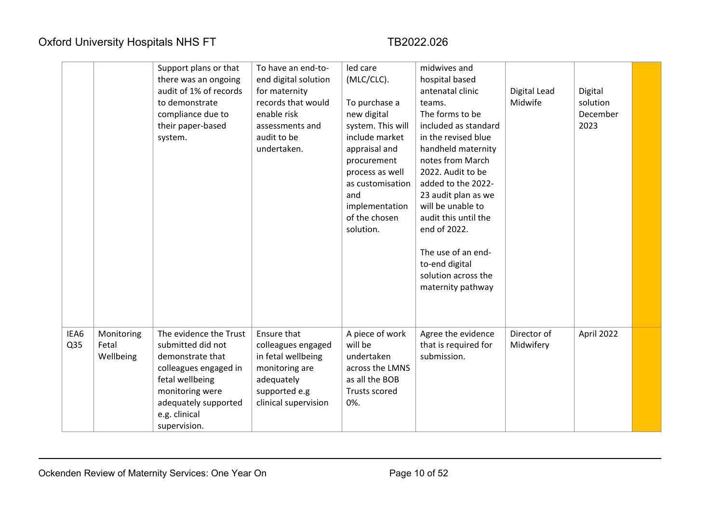|             |                                  | Support plans or that<br>there was an ongoing<br>audit of 1% of records<br>to demonstrate<br>compliance due to<br>their paper-based<br>system.                                          | To have an end-to-<br>end digital solution<br>for maternity<br>records that would<br>enable risk<br>assessments and<br>audit to be<br>undertaken. | led care<br>(MLC/CLC).<br>To purchase a<br>new digital<br>system. This will<br>include market<br>appraisal and<br>procurement<br>process as well<br>as customisation<br>and<br>implementation<br>of the chosen<br>solution. | midwives and<br>hospital based<br>antenatal clinic<br>teams.<br>The forms to be<br>included as standard<br>in the revised blue<br>handheld maternity<br>notes from March<br>2022. Audit to be<br>added to the 2022-<br>23 audit plan as we<br>will be unable to<br>audit this until the<br>end of 2022.<br>The use of an end-<br>to-end digital<br>solution across the<br>maternity pathway | Digital Lead<br>Midwife  | Digital<br>solution<br>December<br>2023 |  |
|-------------|----------------------------------|-----------------------------------------------------------------------------------------------------------------------------------------------------------------------------------------|---------------------------------------------------------------------------------------------------------------------------------------------------|-----------------------------------------------------------------------------------------------------------------------------------------------------------------------------------------------------------------------------|---------------------------------------------------------------------------------------------------------------------------------------------------------------------------------------------------------------------------------------------------------------------------------------------------------------------------------------------------------------------------------------------|--------------------------|-----------------------------------------|--|
| IEA6<br>Q35 | Monitoring<br>Fetal<br>Wellbeing | The evidence the Trust<br>submitted did not<br>demonstrate that<br>colleagues engaged in<br>fetal wellbeing<br>monitoring were<br>adequately supported<br>e.g. clinical<br>supervision. | Ensure that<br>colleagues engaged<br>in fetal wellbeing<br>monitoring are<br>adequately<br>supported e.g<br>clinical supervision                  | A piece of work<br>will be<br>undertaken<br>across the LMNS<br>as all the BOB<br>Trusts scored<br>0%.                                                                                                                       | Agree the evidence<br>that is required for<br>submission.                                                                                                                                                                                                                                                                                                                                   | Director of<br>Midwifery | April 2022                              |  |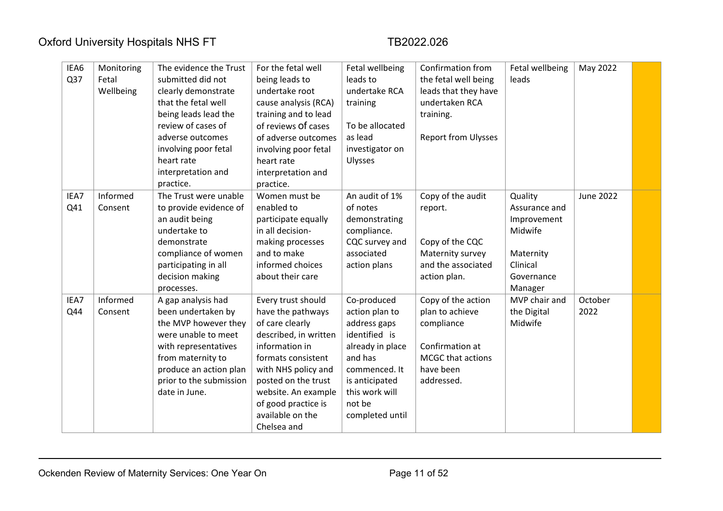| IEA6 | Monitoring | The evidence the Trust  | For the fetal well    | Fetal wellbeing  | Confirmation from          | Fetal wellbeing | May 2022         |  |
|------|------------|-------------------------|-----------------------|------------------|----------------------------|-----------------|------------------|--|
| Q37  | Fetal      | submitted did not       | being leads to        | leads to         | the fetal well being       | leads           |                  |  |
|      | Wellbeing  | clearly demonstrate     | undertake root        | undertake RCA    | leads that they have       |                 |                  |  |
|      |            | that the fetal well     | cause analysis (RCA)  | training         | undertaken RCA             |                 |                  |  |
|      |            | being leads lead the    | training and to lead  |                  | training.                  |                 |                  |  |
|      |            | review of cases of      | of reviews Of cases   | To be allocated  |                            |                 |                  |  |
|      |            | adverse outcomes        | of adverse outcomes   | as lead          | <b>Report from Ulysses</b> |                 |                  |  |
|      |            | involving poor fetal    | involving poor fetal  | investigator on  |                            |                 |                  |  |
|      |            | heart rate              | heart rate            | Ulysses          |                            |                 |                  |  |
|      |            | interpretation and      | interpretation and    |                  |                            |                 |                  |  |
|      |            | practice.               | practice.             |                  |                            |                 |                  |  |
| IEA7 | Informed   | The Trust were unable   | Women must be         | An audit of 1%   | Copy of the audit          | Quality         | <b>June 2022</b> |  |
| Q41  | Consent    | to provide evidence of  | enabled to            | of notes         | report.                    | Assurance and   |                  |  |
|      |            | an audit being          | participate equally   | demonstrating    |                            | Improvement     |                  |  |
|      |            | undertake to            | in all decision-      | compliance.      |                            | Midwife         |                  |  |
|      |            | demonstrate             | making processes      | CQC survey and   | Copy of the CQC            |                 |                  |  |
|      |            | compliance of women     | and to make           | associated       | Maternity survey           | Maternity       |                  |  |
|      |            | participating in all    | informed choices      | action plans     | and the associated         | Clinical        |                  |  |
|      |            | decision making         | about their care      |                  | action plan.               | Governance      |                  |  |
|      |            | processes.              |                       |                  |                            | Manager         |                  |  |
| IEA7 | Informed   | A gap analysis had      | Every trust should    | Co-produced      | Copy of the action         | MVP chair and   | October          |  |
| Q44  | Consent    | been undertaken by      | have the pathways     | action plan to   | plan to achieve            | the Digital     | 2022             |  |
|      |            | the MVP however they    | of care clearly       | address gaps     | compliance                 | Midwife         |                  |  |
|      |            | were unable to meet     | described, in written | identified is    |                            |                 |                  |  |
|      |            | with representatives    | information in        | already in place | Confirmation at            |                 |                  |  |
|      |            | from maternity to       | formats consistent    | and has          | MCGC that actions          |                 |                  |  |
|      |            | produce an action plan  | with NHS policy and   | commenced. It    | have been                  |                 |                  |  |
|      |            | prior to the submission | posted on the trust   | is anticipated   | addressed.                 |                 |                  |  |
|      |            | date in June.           | website. An example   | this work will   |                            |                 |                  |  |
|      |            |                         | of good practice is   | not be           |                            |                 |                  |  |
|      |            |                         | available on the      | completed until  |                            |                 |                  |  |
|      |            |                         | Chelsea and           |                  |                            |                 |                  |  |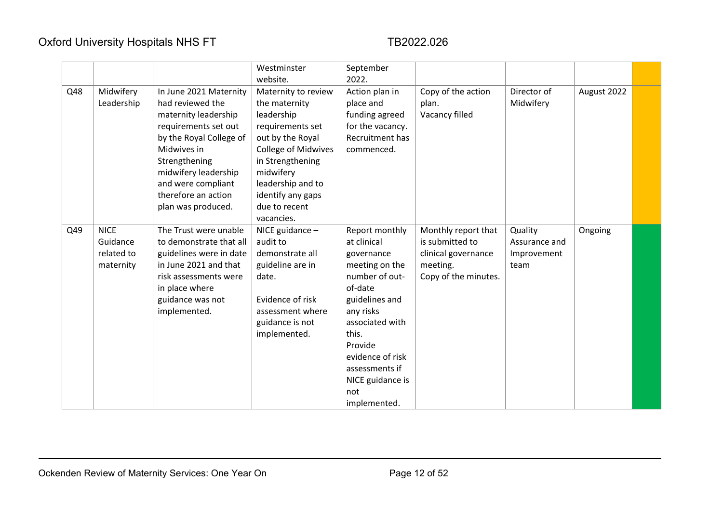|     |             |                         | Westminster<br>website.    | September<br>2022. |                      |               |             |  |
|-----|-------------|-------------------------|----------------------------|--------------------|----------------------|---------------|-------------|--|
|     |             |                         |                            |                    |                      |               |             |  |
| Q48 | Midwifery   | In June 2021 Maternity  | Maternity to review        | Action plan in     | Copy of the action   | Director of   | August 2022 |  |
|     | Leadership  | had reviewed the        | the maternity              | place and          | plan.                | Midwifery     |             |  |
|     |             | maternity leadership    | leadership                 | funding agreed     | Vacancy filled       |               |             |  |
|     |             | requirements set out    | requirements set           | for the vacancy.   |                      |               |             |  |
|     |             | by the Royal College of | out by the Royal           | Recruitment has    |                      |               |             |  |
|     |             | Midwives in             | <b>College of Midwives</b> | commenced.         |                      |               |             |  |
|     |             | Strengthening           | in Strengthening           |                    |                      |               |             |  |
|     |             | midwifery leadership    | midwifery                  |                    |                      |               |             |  |
|     |             | and were compliant      | leadership and to          |                    |                      |               |             |  |
|     |             | therefore an action     | identify any gaps          |                    |                      |               |             |  |
|     |             | plan was produced.      | due to recent              |                    |                      |               |             |  |
|     |             |                         | vacancies.                 |                    |                      |               |             |  |
| Q49 | <b>NICE</b> | The Trust were unable   | NICE guidance -            | Report monthly     | Monthly report that  | Quality       | Ongoing     |  |
|     | Guidance    | to demonstrate that all | audit to                   | at clinical        | is submitted to      | Assurance and |             |  |
|     | related to  | guidelines were in date | demonstrate all            | governance         | clinical governance  | Improvement   |             |  |
|     | maternity   | in June 2021 and that   | guideline are in           | meeting on the     | meeting.             | team          |             |  |
|     |             | risk assessments were   | date.                      | number of out-     | Copy of the minutes. |               |             |  |
|     |             | in place where          |                            | of-date            |                      |               |             |  |
|     |             | guidance was not        | Evidence of risk           | guidelines and     |                      |               |             |  |
|     |             | implemented.            | assessment where           | any risks          |                      |               |             |  |
|     |             |                         | guidance is not            | associated with    |                      |               |             |  |
|     |             |                         | implemented.               | this.              |                      |               |             |  |
|     |             |                         |                            | Provide            |                      |               |             |  |
|     |             |                         |                            | evidence of risk   |                      |               |             |  |
|     |             |                         |                            | assessments if     |                      |               |             |  |
|     |             |                         |                            | NICE guidance is   |                      |               |             |  |
|     |             |                         |                            | not                |                      |               |             |  |
|     |             |                         |                            |                    |                      |               |             |  |
|     |             |                         |                            | implemented.       |                      |               |             |  |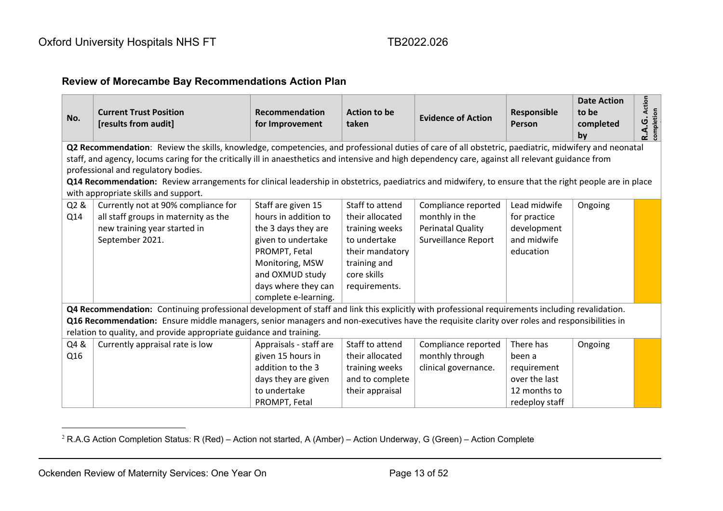### **Review of Morecambe Bay Recommendations Action Plan**

| No.                                                                                                                                                 | <b>Current Trust Position</b><br>[results from audit]                                                                                                                                                                                                                                           | Recommendation<br>for Improvement | Action to be<br>taken | <b>Evidence of Action</b> | Responsible<br>Person | <b>Date Action</b><br>to be<br>completed<br>by | <b>R.A.G.</b> Action<br>completion |  |  |
|-----------------------------------------------------------------------------------------------------------------------------------------------------|-------------------------------------------------------------------------------------------------------------------------------------------------------------------------------------------------------------------------------------------------------------------------------------------------|-----------------------------------|-----------------------|---------------------------|-----------------------|------------------------------------------------|------------------------------------|--|--|
| Q2 Recommendation: Review the skills, knowledge, competencies, and professional duties of care of all obstetric, paediatric, midwifery and neonatal |                                                                                                                                                                                                                                                                                                 |                                   |                       |                           |                       |                                                |                                    |  |  |
|                                                                                                                                                     | staff, and agency, locums caring for the critically ill in anaesthetics and intensive and high dependency care, against all relevant guidance from                                                                                                                                              |                                   |                       |                           |                       |                                                |                                    |  |  |
|                                                                                                                                                     | professional and regulatory bodies.<br>Q14 Recommendation: Review arrangements for clinical leadership in obstetrics, paediatrics and midwifery, to ensure that the right people are in place                                                                                                   |                                   |                       |                           |                       |                                                |                                    |  |  |
|                                                                                                                                                     | with appropriate skills and support.                                                                                                                                                                                                                                                            |                                   |                       |                           |                       |                                                |                                    |  |  |
| Q2&                                                                                                                                                 | Currently not at 90% compliance for                                                                                                                                                                                                                                                             | Staff are given 15                | Staff to attend       | Compliance reported       | Lead midwife          | Ongoing                                        |                                    |  |  |
| Q14                                                                                                                                                 | all staff groups in maternity as the                                                                                                                                                                                                                                                            | hours in addition to              | their allocated       | monthly in the            | for practice          |                                                |                                    |  |  |
|                                                                                                                                                     | new training year started in                                                                                                                                                                                                                                                                    | the 3 days they are               | training weeks        | Perinatal Quality         | development           |                                                |                                    |  |  |
|                                                                                                                                                     | September 2021.                                                                                                                                                                                                                                                                                 | given to undertake                | to undertake          | Surveillance Report       | and midwife           |                                                |                                    |  |  |
|                                                                                                                                                     |                                                                                                                                                                                                                                                                                                 | PROMPT, Fetal                     | their mandatory       |                           | education             |                                                |                                    |  |  |
|                                                                                                                                                     |                                                                                                                                                                                                                                                                                                 | Monitoring, MSW                   | training and          |                           |                       |                                                |                                    |  |  |
|                                                                                                                                                     |                                                                                                                                                                                                                                                                                                 | and OXMUD study                   | core skills           |                           |                       |                                                |                                    |  |  |
|                                                                                                                                                     |                                                                                                                                                                                                                                                                                                 | days where they can               | requirements.         |                           |                       |                                                |                                    |  |  |
|                                                                                                                                                     |                                                                                                                                                                                                                                                                                                 | complete e-learning.              |                       |                           |                       |                                                |                                    |  |  |
|                                                                                                                                                     | Q4 Recommendation: Continuing professional development of staff and link this explicitly with professional requirements including revalidation.<br>Q16 Recommendation: Ensure middle managers, senior managers and non-executives have the requisite clarity over roles and responsibilities in |                                   |                       |                           |                       |                                                |                                    |  |  |
|                                                                                                                                                     | relation to quality, and provide appropriate guidance and training.                                                                                                                                                                                                                             |                                   |                       |                           |                       |                                                |                                    |  |  |
| Q4 &                                                                                                                                                | Currently appraisal rate is low                                                                                                                                                                                                                                                                 | Appraisals - staff are            | Staff to attend       | Compliance reported       | There has             | Ongoing                                        |                                    |  |  |
| Q16                                                                                                                                                 |                                                                                                                                                                                                                                                                                                 | given 15 hours in                 | their allocated       | monthly through           | been a                |                                                |                                    |  |  |
|                                                                                                                                                     |                                                                                                                                                                                                                                                                                                 | addition to the 3                 | training weeks        | clinical governance.      | requirement           |                                                |                                    |  |  |
|                                                                                                                                                     |                                                                                                                                                                                                                                                                                                 | days they are given               | and to complete       |                           | over the last         |                                                |                                    |  |  |
|                                                                                                                                                     |                                                                                                                                                                                                                                                                                                 | to undertake                      | their appraisal       |                           | 12 months to          |                                                |                                    |  |  |
|                                                                                                                                                     |                                                                                                                                                                                                                                                                                                 | PROMPT, Fetal                     |                       |                           | redeploy staff        |                                                |                                    |  |  |

 $2$  R.A.G Action Completion Status: R (Red) – Action not started, A (Amber) – Action Underway, G (Green) – Action Complete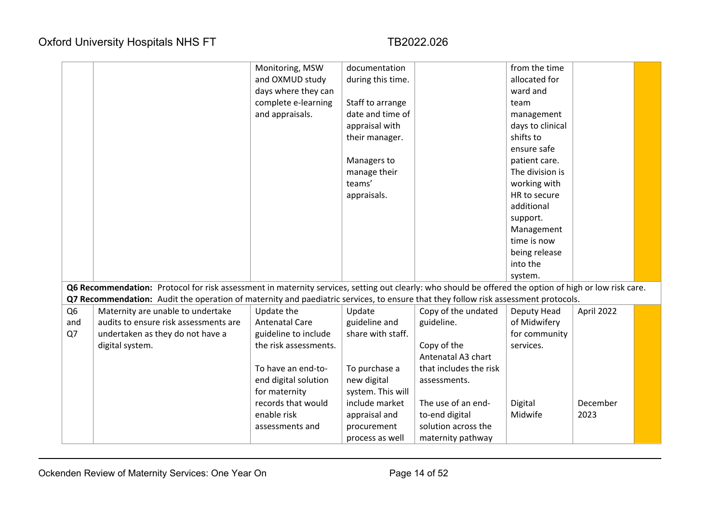|                |                                                                                                                                                        | Monitoring, MSW<br>and OXMUD study<br>days where they can<br>complete e-learning<br>and appraisals. | documentation<br>during this time.<br>Staff to arrange<br>date and time of<br>appraisal with<br>their manager.<br>Managers to<br>manage their<br>teams'<br>appraisals. |                        | from the time<br>allocated for<br>ward and<br>team<br>management<br>days to clinical<br>shifts to<br>ensure safe<br>patient care.<br>The division is<br>working with<br>HR to secure<br>additional<br>support. |            |  |
|----------------|--------------------------------------------------------------------------------------------------------------------------------------------------------|-----------------------------------------------------------------------------------------------------|------------------------------------------------------------------------------------------------------------------------------------------------------------------------|------------------------|----------------------------------------------------------------------------------------------------------------------------------------------------------------------------------------------------------------|------------|--|
|                |                                                                                                                                                        |                                                                                                     |                                                                                                                                                                        |                        | Management<br>time is now                                                                                                                                                                                      |            |  |
|                |                                                                                                                                                        |                                                                                                     |                                                                                                                                                                        |                        | being release                                                                                                                                                                                                  |            |  |
|                |                                                                                                                                                        |                                                                                                     |                                                                                                                                                                        |                        | into the                                                                                                                                                                                                       |            |  |
|                | Q6 Recommendation: Protocol for risk assessment in maternity services, setting out clearly: who should be offered the option of high or low risk care. |                                                                                                     |                                                                                                                                                                        |                        | system.                                                                                                                                                                                                        |            |  |
|                | Q7 Recommendation: Audit the operation of maternity and paediatric services, to ensure that they follow risk assessment protocols.                     |                                                                                                     |                                                                                                                                                                        |                        |                                                                                                                                                                                                                |            |  |
| Q <sub>6</sub> | Maternity are unable to undertake                                                                                                                      | Update the                                                                                          | Update                                                                                                                                                                 | Copy of the undated    | Deputy Head                                                                                                                                                                                                    | April 2022 |  |
| and            | audits to ensure risk assessments are                                                                                                                  | <b>Antenatal Care</b>                                                                               | guideline and                                                                                                                                                          | guideline.             | of Midwifery                                                                                                                                                                                                   |            |  |
| Q7             | undertaken as they do not have a                                                                                                                       | guideline to include                                                                                | share with staff.                                                                                                                                                      |                        | for community                                                                                                                                                                                                  |            |  |
|                | digital system.                                                                                                                                        | the risk assessments.                                                                               |                                                                                                                                                                        | Copy of the            | services.                                                                                                                                                                                                      |            |  |
|                |                                                                                                                                                        |                                                                                                     |                                                                                                                                                                        | Antenatal A3 chart     |                                                                                                                                                                                                                |            |  |
|                |                                                                                                                                                        | To have an end-to-                                                                                  | To purchase a                                                                                                                                                          | that includes the risk |                                                                                                                                                                                                                |            |  |
|                |                                                                                                                                                        | end digital solution                                                                                | new digital                                                                                                                                                            | assessments.           |                                                                                                                                                                                                                |            |  |
|                |                                                                                                                                                        | for maternity<br>records that would                                                                 | system. This will<br>include market                                                                                                                                    | The use of an end-     | Digital                                                                                                                                                                                                        | December   |  |
|                |                                                                                                                                                        | enable risk                                                                                         | appraisal and                                                                                                                                                          | to-end digital         | Midwife                                                                                                                                                                                                        | 2023       |  |
|                |                                                                                                                                                        | assessments and                                                                                     | procurement                                                                                                                                                            | solution across the    |                                                                                                                                                                                                                |            |  |
|                |                                                                                                                                                        |                                                                                                     | process as well                                                                                                                                                        | maternity pathway      |                                                                                                                                                                                                                |            |  |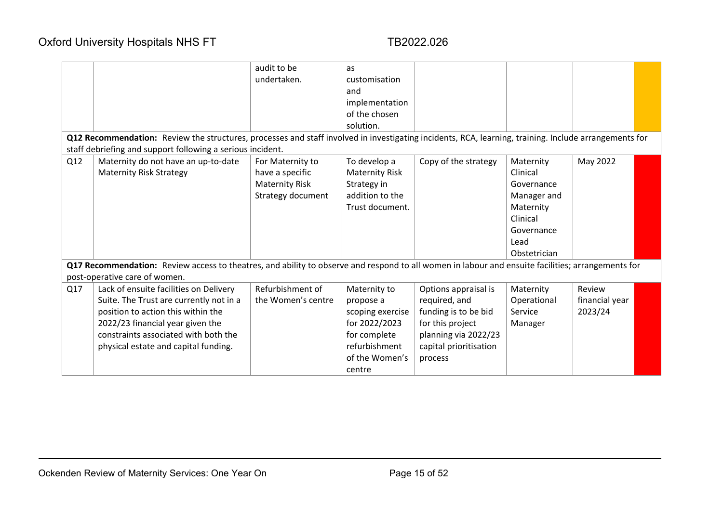|     |                                                                                                                                                       | audit to be           | as                    |                        |              |                |  |
|-----|-------------------------------------------------------------------------------------------------------------------------------------------------------|-----------------------|-----------------------|------------------------|--------------|----------------|--|
|     |                                                                                                                                                       | undertaken.           | customisation         |                        |              |                |  |
|     |                                                                                                                                                       |                       | and                   |                        |              |                |  |
|     |                                                                                                                                                       |                       | implementation        |                        |              |                |  |
|     |                                                                                                                                                       |                       | of the chosen         |                        |              |                |  |
|     |                                                                                                                                                       |                       | solution.             |                        |              |                |  |
|     | Q12 Recommendation: Review the structures, processes and staff involved in investigating incidents, RCA, learning, training. Include arrangements for |                       |                       |                        |              |                |  |
|     | staff debriefing and support following a serious incident.                                                                                            |                       |                       |                        |              |                |  |
| Q12 | Maternity do not have an up-to-date                                                                                                                   | For Maternity to      | To develop a          | Copy of the strategy   | Maternity    | May 2022       |  |
|     | <b>Maternity Risk Strategy</b>                                                                                                                        | have a specific       | <b>Maternity Risk</b> |                        | Clinical     |                |  |
|     |                                                                                                                                                       | <b>Maternity Risk</b> | Strategy in           |                        | Governance   |                |  |
|     |                                                                                                                                                       | Strategy document     | addition to the       |                        | Manager and  |                |  |
|     |                                                                                                                                                       |                       | Trust document.       |                        | Maternity    |                |  |
|     |                                                                                                                                                       |                       |                       |                        | Clinical     |                |  |
|     |                                                                                                                                                       |                       |                       |                        | Governance   |                |  |
|     |                                                                                                                                                       |                       |                       |                        | Lead         |                |  |
|     |                                                                                                                                                       |                       |                       |                        | Obstetrician |                |  |
|     | Q17 Recommendation: Review access to theatres, and ability to observe and respond to all women in labour and ensuite facilities; arrangements for     |                       |                       |                        |              |                |  |
|     | post-operative care of women.                                                                                                                         |                       |                       |                        |              |                |  |
| Q17 | Lack of ensuite facilities on Delivery                                                                                                                | Refurbishment of      | Maternity to          | Options appraisal is   | Maternity    | Review         |  |
|     | Suite. The Trust are currently not in a                                                                                                               | the Women's centre    | propose a             | required, and          | Operational  | financial year |  |
|     | position to action this within the                                                                                                                    |                       | scoping exercise      | funding is to be bid   | Service      | 2023/24        |  |
|     | 2022/23 financial year given the                                                                                                                      |                       | for 2022/2023         | for this project       | Manager      |                |  |
|     | constraints associated with both the                                                                                                                  |                       | for complete          | planning via 2022/23   |              |                |  |
|     | physical estate and capital funding.                                                                                                                  |                       | refurbishment         | capital prioritisation |              |                |  |
|     |                                                                                                                                                       |                       | of the Women's        | process                |              |                |  |
|     |                                                                                                                                                       |                       | centre                |                        |              |                |  |
|     |                                                                                                                                                       |                       |                       |                        |              |                |  |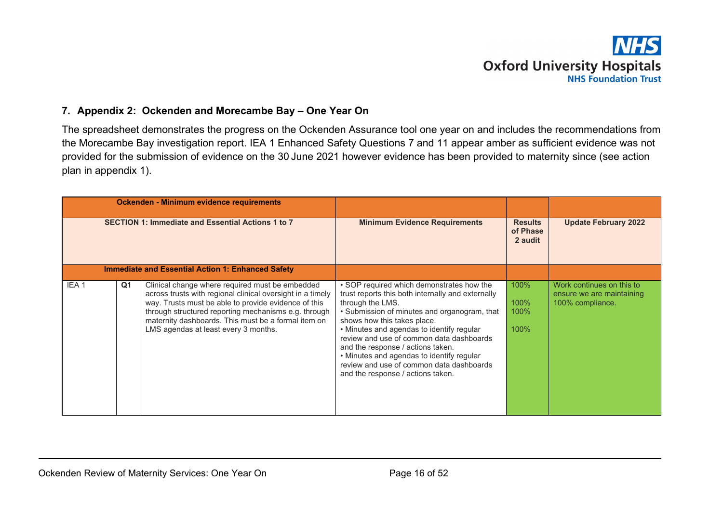# **Oxford University Hospitals NHS Foundation Trust**

### **7. Appendix 2: Ockenden and Morecambe Bay – One Year On**

The spreadsheet demonstrates the progress on the Ockenden Assurance tool one year on and includes the recommendations from the Morecambe Bay investigation report. IEA 1 Enhanced Safety Questions 7 and 11 appear amber as sufficient evidence was not provided for the submission of evidence on the 30 June 2021 however evidence has been provided to maternity since (see action plan in appendix 1).

<span id="page-15-0"></span>

|                                                          |                | Ockenden - Minimum evidence requirements                                                                                                                                                                                                                                                                                     |                                                                                                                                                                                                                                                                                                                                                                                                                                                               |                                       |                                                                            |
|----------------------------------------------------------|----------------|------------------------------------------------------------------------------------------------------------------------------------------------------------------------------------------------------------------------------------------------------------------------------------------------------------------------------|---------------------------------------------------------------------------------------------------------------------------------------------------------------------------------------------------------------------------------------------------------------------------------------------------------------------------------------------------------------------------------------------------------------------------------------------------------------|---------------------------------------|----------------------------------------------------------------------------|
| <b>SECTION 1: Immediate and Essential Actions 1 to 7</b> |                |                                                                                                                                                                                                                                                                                                                              | <b>Minimum Evidence Requirements</b>                                                                                                                                                                                                                                                                                                                                                                                                                          | <b>Results</b><br>of Phase<br>2 audit | <b>Update February 2022</b>                                                |
|                                                          |                | <b>Immediate and Essential Action 1: Enhanced Safety</b>                                                                                                                                                                                                                                                                     |                                                                                                                                                                                                                                                                                                                                                                                                                                                               |                                       |                                                                            |
| IEA <sub>1</sub>                                         | Q <sub>1</sub> | Clinical change where required must be embedded<br>across trusts with regional clinical oversight in a timely<br>way. Trusts must be able to provide evidence of this<br>through structured reporting mechanisms e.g. through<br>maternity dashboards. This must be a formal item on<br>LMS agendas at least every 3 months. | • SOP required which demonstrates how the<br>trust reports this both internally and externally<br>through the LMS.<br>• Submission of minutes and organogram, that<br>shows how this takes place.<br>• Minutes and agendas to identify regular<br>review and use of common data dashboards<br>and the response / actions taken.<br>• Minutes and agendas to identify regular<br>review and use of common data dashboards<br>and the response / actions taken. | 100%<br>100%<br>100%<br>100%          | Work continues on this to<br>ensure we are maintaining<br>100% compliance. |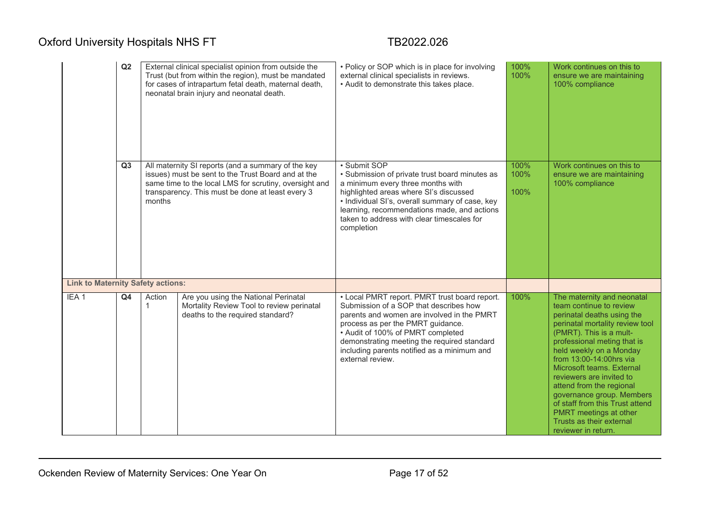|                                          | Q2             |                        | External clinical specialist opinion from outside the<br>Trust (but from within the region), must be mandated<br>for cases of intrapartum fetal death, maternal death,<br>neonatal brain injury and neonatal death.    | • Policy or SOP which is in place for involving<br>external clinical specialists in reviews.<br>. Audit to demonstrate this takes place.                                                                                                                                                                                          | 100%<br>100%         | Work continues on this to<br>ensure we are maintaining<br>100% compliance                                                                                                                                                                                                                                                                                                                                                                                                       |
|------------------------------------------|----------------|------------------------|------------------------------------------------------------------------------------------------------------------------------------------------------------------------------------------------------------------------|-----------------------------------------------------------------------------------------------------------------------------------------------------------------------------------------------------------------------------------------------------------------------------------------------------------------------------------|----------------------|---------------------------------------------------------------------------------------------------------------------------------------------------------------------------------------------------------------------------------------------------------------------------------------------------------------------------------------------------------------------------------------------------------------------------------------------------------------------------------|
|                                          | Q <sub>3</sub> | months                 | All maternity SI reports (and a summary of the key<br>issues) must be sent to the Trust Board and at the<br>same time to the local LMS for scrutiny, oversight and<br>transparency. This must be done at least every 3 | • Submit SOP<br>• Submission of private trust board minutes as<br>a minimum every three months with<br>highlighted areas where SI's discussed<br>• Individual SI's, overall summary of case, key<br>learning, recommendations made, and actions<br>taken to address with clear timescales for<br>completion                       | 100%<br>100%<br>100% | Work continues on this to<br>ensure we are maintaining<br>100% compliance                                                                                                                                                                                                                                                                                                                                                                                                       |
| <b>Link to Maternity Safety actions:</b> |                |                        |                                                                                                                                                                                                                        |                                                                                                                                                                                                                                                                                                                                   |                      |                                                                                                                                                                                                                                                                                                                                                                                                                                                                                 |
| IEA <sub>1</sub>                         | Q4             | Action<br>$\mathbf{1}$ | Are you using the National Perinatal<br>Mortality Review Tool to review perinatal<br>deaths to the required standard?                                                                                                  | • Local PMRT report. PMRT trust board report.<br>Submission of a SOP that describes how<br>parents and women are involved in the PMRT<br>process as per the PMRT guidance.<br>• Audit of 100% of PMRT completed<br>demonstrating meeting the required standard<br>including parents notified as a minimum and<br>external review. | 100%                 | The maternity and neonatal<br>team continue to review<br>perinatal deaths using the<br>perinatal mortality review tool<br>(PMRT). This is a mult-<br>professional meting that is<br>held weekly on a Monday<br>from 13:00-14:00hrs via<br>Microsoft teams. External<br>reviewers are invited to<br>attend from the regional<br>governance group. Members<br>of staff from this Trust attend<br><b>PMRT</b> meetings at other<br>Trusts as their external<br>reviewer in return. |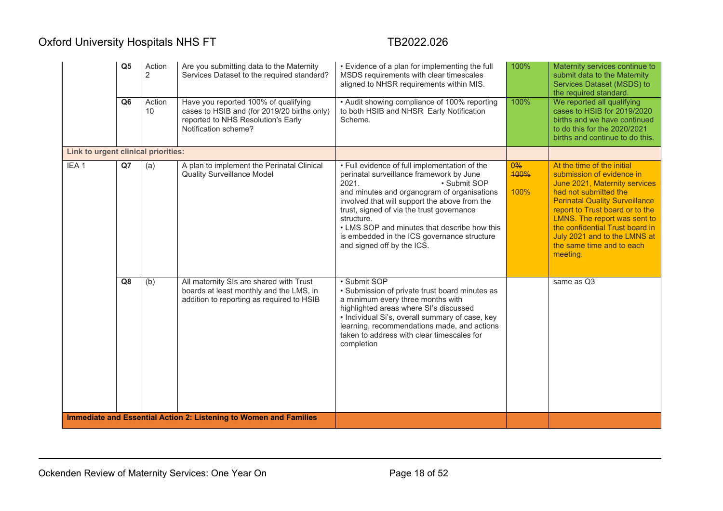|                                     | Q <sub>5</sub> | Action<br>$\overline{2}$ | Are you submitting data to the Maternity<br>Services Dataset to the required standard?                                                            | • Evidence of a plan for implementing the full<br>MSDS requirements with clear timescales<br>aligned to NHSR requirements within MIS.                                                                                                                                                                                                                                                                      | 100%               | Maternity services continue to<br>submit data to the Maternity<br>Services Dataset (MSDS) to<br>the required standard                                                                                                                                                                                                                     |
|-------------------------------------|----------------|--------------------------|---------------------------------------------------------------------------------------------------------------------------------------------------|------------------------------------------------------------------------------------------------------------------------------------------------------------------------------------------------------------------------------------------------------------------------------------------------------------------------------------------------------------------------------------------------------------|--------------------|-------------------------------------------------------------------------------------------------------------------------------------------------------------------------------------------------------------------------------------------------------------------------------------------------------------------------------------------|
|                                     | Q <sub>6</sub> | Action<br>10             | Have you reported 100% of qualifying<br>cases to HSIB and (for 2019/20 births only)<br>reported to NHS Resolution's Early<br>Notification scheme? | • Audit showing compliance of 100% reporting<br>to both HSIB and NHSR Early Notification<br>Scheme.                                                                                                                                                                                                                                                                                                        | 100%               | We reported all qualifying<br>cases to HSIB for 2019/2020<br>births and we have continued<br>to do this for the 2020/2021<br>births and continue to do this.                                                                                                                                                                              |
| Link to urgent clinical priorities: |                |                          |                                                                                                                                                   |                                                                                                                                                                                                                                                                                                                                                                                                            |                    |                                                                                                                                                                                                                                                                                                                                           |
| IEA <sub>1</sub>                    | Q7             | (a)                      | A plan to implement the Perinatal Clinical<br><b>Quality Surveillance Model</b>                                                                   | • Full evidence of full implementation of the<br>perinatal surveillance framework by June<br>2021.<br>• Submit SOP<br>and minutes and organogram of organisations<br>involved that will support the above from the<br>trust, signed of via the trust governance<br>structure.<br>• LMS SOP and minutes that describe how this<br>is embedded in the ICS governance structure<br>and signed off by the ICS. | 0%<br>400%<br>100% | At the time of the initial<br>submission of evidence in<br>June 2021, Maternity services<br>had not submitted the<br><b>Perinatal Quality Surveillance</b><br>report to Trust board or to the<br>LMNS. The report was sent to<br>the confidential Trust board in<br>July 2021 and to the LMNS at<br>the same time and to each<br>meeting. |
|                                     | Q8             | (b)                      | All maternity SIs are shared with Trust<br>boards at least monthly and the LMS, in<br>addition to reporting as required to HSIB                   | • Submit SOP<br>• Submission of private trust board minutes as<br>a minimum every three months with<br>highlighted areas where SI's discussed<br>• Individual Si's, overall summary of case, key<br>learning, recommendations made, and actions<br>taken to address with clear timescales for<br>completion                                                                                                |                    | same as Q3                                                                                                                                                                                                                                                                                                                                |
|                                     |                |                          | <b>Immediate and Essential Action 2: Listening to Women and Families</b>                                                                          |                                                                                                                                                                                                                                                                                                                                                                                                            |                    |                                                                                                                                                                                                                                                                                                                                           |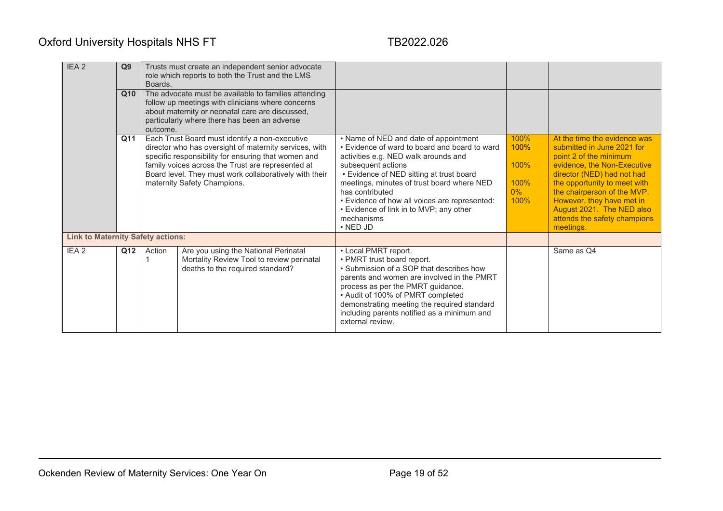| IEA <sub>2</sub>                         | Q <sub>9</sub><br>Q10 | Boards.  | Trusts must create an independent senior advocate<br>role which reports to both the Trust and the LMS<br>The advocate must be available to families attending<br>follow up meetings with clinicians where concerns                                                                                            |                                                                                                                                                                                                                                                                                                                                                                                               |                                               |                                                                                                                                                                                                                                                                                                                         |
|------------------------------------------|-----------------------|----------|---------------------------------------------------------------------------------------------------------------------------------------------------------------------------------------------------------------------------------------------------------------------------------------------------------------|-----------------------------------------------------------------------------------------------------------------------------------------------------------------------------------------------------------------------------------------------------------------------------------------------------------------------------------------------------------------------------------------------|-----------------------------------------------|-------------------------------------------------------------------------------------------------------------------------------------------------------------------------------------------------------------------------------------------------------------------------------------------------------------------------|
|                                          |                       | outcome. | about maternity or neonatal care are discussed,<br>particularly where there has been an adverse                                                                                                                                                                                                               |                                                                                                                                                                                                                                                                                                                                                                                               |                                               |                                                                                                                                                                                                                                                                                                                         |
|                                          | Q11                   |          | Each Trust Board must identify a non-executive<br>director who has oversight of maternity services, with<br>specific responsibility for ensuring that women and<br>family voices across the Trust are represented at<br>Board level. They must work collaboratively with their<br>maternity Safety Champions. | • Name of NED and date of appointment<br>• Evidence of ward to board and board to ward<br>activities e.g. NED walk arounds and<br>subsequent actions<br>• Evidence of NED sitting at trust board<br>meetings, minutes of trust board where NED<br>has contributed<br>• Evidence of how all voices are represented:<br>• Evidence of link in to MVP; any other<br>mechanisms<br>$\cdot$ NED JD | 100%<br>100%<br>100%<br>100%<br>$0\%$<br>100% | At the time the evidence was<br>submitted in June 2021 for<br>point 2 of the minimum<br>evidence, the Non-Executive<br>director (NED) had not had<br>the opportunity to meet with<br>the chairperson of the MVP.<br>However, they have met in<br>August 2021. The NED also<br>attends the safety champions<br>meetings. |
| <b>Link to Maternity Safety actions:</b> |                       |          |                                                                                                                                                                                                                                                                                                               |                                                                                                                                                                                                                                                                                                                                                                                               |                                               |                                                                                                                                                                                                                                                                                                                         |
| IEA <sub>2</sub>                         | Q12                   | Action   | Are you using the National Perinatal<br>Mortality Review Tool to review perinatal<br>deaths to the required standard?                                                                                                                                                                                         | • Local PMRT report.<br>• PMRT trust board report.<br>• Submission of a SOP that describes how<br>parents and women are involved in the PMRT<br>process as per the PMRT guidance.<br>• Audit of 100% of PMRT completed<br>demonstrating meeting the required standard<br>including parents notified as a minimum and<br>external review.                                                      |                                               | Same as Q4                                                                                                                                                                                                                                                                                                              |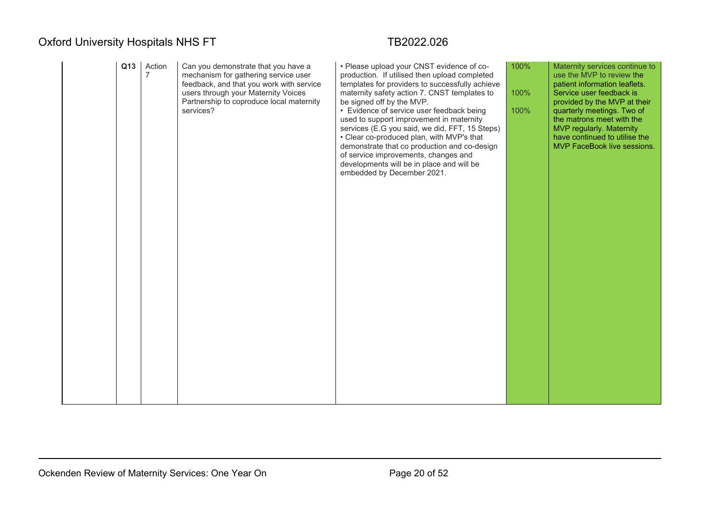|  | Q13 | Action<br>$\overline{7}$ | Can you demonstrate that you have a<br>mechanism for gathering service user<br>feedback, and that you work with service<br>users through your Maternity Voices<br>Partnership to coproduce local maternity<br>services? | • Please upload your CNST evidence of co-<br>production. If utilised then upload completed<br>templates for providers to successfully achieve<br>maternity safety action 7. CNST templates to<br>be signed off by the MVP.<br>• Evidence of service user feedback being<br>used to support improvement in maternity<br>services (E.G you said, we did, FFT, 15 Steps)<br>• Clear co-produced plan, with MVP's that<br>demonstrate that co production and co-design<br>of service improvements, changes and<br>developments will be in place and will be<br>embedded by December 2021. | 100%<br>100%<br>100% | Maternity services continue to<br>use the MVP to review the<br>patient information leaflets.<br>Service user feedback is<br>provided by the MVP at their<br>quarterly meetings. Two of<br>the matrons meet with the<br>MVP regularly. Maternity<br>have continued to utilise the<br>MVP FaceBook live sessions. |
|--|-----|--------------------------|-------------------------------------------------------------------------------------------------------------------------------------------------------------------------------------------------------------------------|---------------------------------------------------------------------------------------------------------------------------------------------------------------------------------------------------------------------------------------------------------------------------------------------------------------------------------------------------------------------------------------------------------------------------------------------------------------------------------------------------------------------------------------------------------------------------------------|----------------------|-----------------------------------------------------------------------------------------------------------------------------------------------------------------------------------------------------------------------------------------------------------------------------------------------------------------|
|--|-----|--------------------------|-------------------------------------------------------------------------------------------------------------------------------------------------------------------------------------------------------------------------|---------------------------------------------------------------------------------------------------------------------------------------------------------------------------------------------------------------------------------------------------------------------------------------------------------------------------------------------------------------------------------------------------------------------------------------------------------------------------------------------------------------------------------------------------------------------------------------|----------------------|-----------------------------------------------------------------------------------------------------------------------------------------------------------------------------------------------------------------------------------------------------------------------------------------------------------------|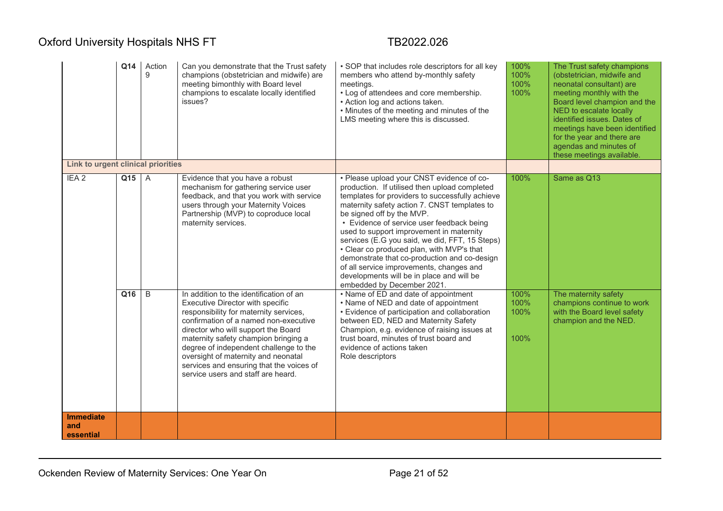|                                      | Q14          | Action<br>9    | Can you demonstrate that the Trust safety<br>champions (obstetrician and midwife) are<br>meeting bimonthly with Board level<br>champions to escalate locally identified<br>issues?                                                                                                                                                                                                                                                                                                                                   | • SOP that includes role descriptors for all key<br>members who attend by-monthly safety<br>meetings.<br>• Log of attendees and core membership.<br>• Action log and actions taken.<br>• Minutes of the meeting and minutes of the<br>LMS meeting where this is discussed.                                                                                                                                                                                                                                                                                                                                                                                                                                                                                                                                                                                                                  | 100%<br>100%<br>100%<br>100%         | The Trust safety champions<br>(obstetrician, midwife and<br>neonatal consultant) are<br>meeting monthly with the<br>Board level champion and the<br>NED to escalate locally<br>identified issues. Dates of<br>meetings have been identified<br>for the year and there are<br>agendas and minutes of<br>these meetings available. |
|--------------------------------------|--------------|----------------|----------------------------------------------------------------------------------------------------------------------------------------------------------------------------------------------------------------------------------------------------------------------------------------------------------------------------------------------------------------------------------------------------------------------------------------------------------------------------------------------------------------------|---------------------------------------------------------------------------------------------------------------------------------------------------------------------------------------------------------------------------------------------------------------------------------------------------------------------------------------------------------------------------------------------------------------------------------------------------------------------------------------------------------------------------------------------------------------------------------------------------------------------------------------------------------------------------------------------------------------------------------------------------------------------------------------------------------------------------------------------------------------------------------------------|--------------------------------------|----------------------------------------------------------------------------------------------------------------------------------------------------------------------------------------------------------------------------------------------------------------------------------------------------------------------------------|
| Link to urgent clinical priorities   |              |                |                                                                                                                                                                                                                                                                                                                                                                                                                                                                                                                      |                                                                                                                                                                                                                                                                                                                                                                                                                                                                                                                                                                                                                                                                                                                                                                                                                                                                                             |                                      |                                                                                                                                                                                                                                                                                                                                  |
| IEA <sub>2</sub>                     | Q15 A<br>Q16 | $\overline{B}$ | Evidence that you have a robust<br>mechanism for gathering service user<br>feedback, and that you work with service<br>users through your Maternity Voices<br>Partnership (MVP) to coproduce local<br>maternity services.<br>In addition to the identification of an<br>Executive Director with specific<br>responsibility for maternity services,<br>confirmation of a named non-executive<br>director who will support the Board<br>maternity safety champion bringing a<br>degree of independent challenge to the | • Please upload your CNST evidence of co-<br>production. If utilised then upload completed<br>templates for providers to successfully achieve<br>maternity safety action 7. CNST templates to<br>be signed off by the MVP.<br>• Evidence of service user feedback being<br>used to support improvement in maternity<br>services (E.G you said, we did, FFT, 15 Steps)<br>• Clear co produced plan, with MVP's that<br>demonstrate that co-production and co-design<br>of all service improvements, changes and<br>developments will be in place and will be<br>embedded by December 2021.<br>• Name of ED and date of appointment<br>• Name of NED and date of appointment<br>• Evidence of participation and collaboration<br>between ED, NED and Maternity Safety<br>Champion, e.g. evidence of raising issues at<br>trust board, minutes of trust board and<br>evidence of actions taken | 100%<br>100%<br>100%<br>100%<br>100% | Same as Q13<br>The maternity safety<br>champions continue to work<br>with the Board level safety<br>champion and the NED.                                                                                                                                                                                                        |
| <b>Immediate</b><br>and<br>essential |              |                | oversight of maternity and neonatal<br>services and ensuring that the voices of<br>service users and staff are heard.                                                                                                                                                                                                                                                                                                                                                                                                | Role descriptors                                                                                                                                                                                                                                                                                                                                                                                                                                                                                                                                                                                                                                                                                                                                                                                                                                                                            |                                      |                                                                                                                                                                                                                                                                                                                                  |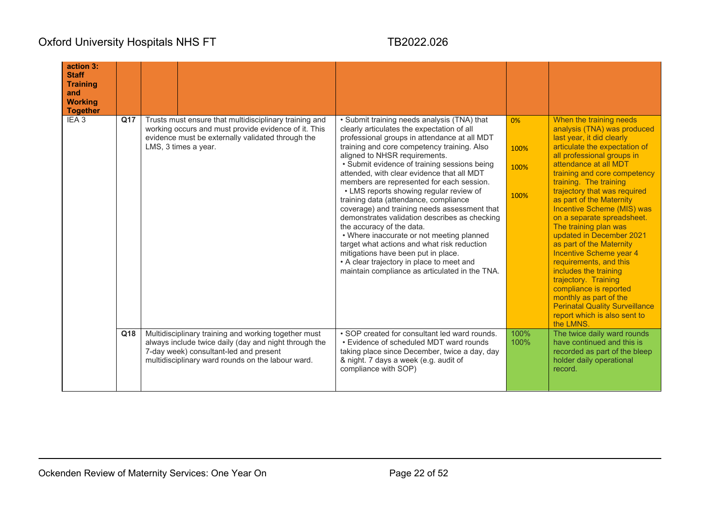| action 3:<br><b>Staff</b><br><b>Training</b><br>and<br><b>Working</b><br><b>Together</b> |     |                                                                                                                                                                                                              |                                                                                                                                                                                                                                                                                                                                                                                                                                                                                                                                                                                                                                                                                                                                                                                                                          |                            |                                                                                                                                                                                                                                                                                                                                                                                                                                                                                                                                                                                                                                                                                                |
|------------------------------------------------------------------------------------------|-----|--------------------------------------------------------------------------------------------------------------------------------------------------------------------------------------------------------------|--------------------------------------------------------------------------------------------------------------------------------------------------------------------------------------------------------------------------------------------------------------------------------------------------------------------------------------------------------------------------------------------------------------------------------------------------------------------------------------------------------------------------------------------------------------------------------------------------------------------------------------------------------------------------------------------------------------------------------------------------------------------------------------------------------------------------|----------------------------|------------------------------------------------------------------------------------------------------------------------------------------------------------------------------------------------------------------------------------------------------------------------------------------------------------------------------------------------------------------------------------------------------------------------------------------------------------------------------------------------------------------------------------------------------------------------------------------------------------------------------------------------------------------------------------------------|
| IEA <sub>3</sub>                                                                         | Q17 | Trusts must ensure that multidisciplinary training and<br>working occurs and must provide evidence of it. This<br>evidence must be externally validated through the<br>LMS, 3 times a year.                  | • Submit training needs analysis (TNA) that<br>clearly articulates the expectation of all<br>professional groups in attendance at all MDT<br>training and core competency training. Also<br>aligned to NHSR requirements.<br>• Submit evidence of training sessions being<br>attended, with clear evidence that all MDT<br>members are represented for each session.<br>• LMS reports showing regular review of<br>training data (attendance, compliance<br>coverage) and training needs assessment that<br>demonstrates validation describes as checking<br>the accuracy of the data.<br>• Where inaccurate or not meeting planned<br>target what actions and what risk reduction<br>mitigations have been put in place.<br>• A clear trajectory in place to meet and<br>maintain compliance as articulated in the TNA. | 0%<br>100%<br>100%<br>100% | When the training needs<br>analysis (TNA) was produced<br>last year, it did clearly<br>articulate the expectation of<br>all professional groups in<br>attendance at all MDT<br>training and core competency<br>training. The training<br>trajectory that was required<br>as part of the Maternity<br>Incentive Scheme (MIS) was<br>on a separate spreadsheet.<br>The training plan was<br>updated in December 2021<br>as part of the Maternity<br>Incentive Scheme year 4<br>requirements, and this<br>includes the training<br>trajectory. Training<br>compliance is reported<br>monthly as part of the<br><b>Perinatal Quality Surveillance</b><br>report which is also sent to<br>the LMNS. |
|                                                                                          | Q18 | Multidisciplinary training and working together must<br>always include twice daily (day and night through the<br>7-day week) consultant-led and present<br>multidisciplinary ward rounds on the labour ward. | • SOP created for consultant led ward rounds.<br>• Evidence of scheduled MDT ward rounds<br>taking place since December, twice a day, day<br>& night. 7 days a week (e.g. audit of<br>compliance with SOP)                                                                                                                                                                                                                                                                                                                                                                                                                                                                                                                                                                                                               | 100%<br>100%               | The twice daily ward rounds<br>have continued and this is<br>recorded as part of the bleep<br>holder daily operational<br>record.                                                                                                                                                                                                                                                                                                                                                                                                                                                                                                                                                              |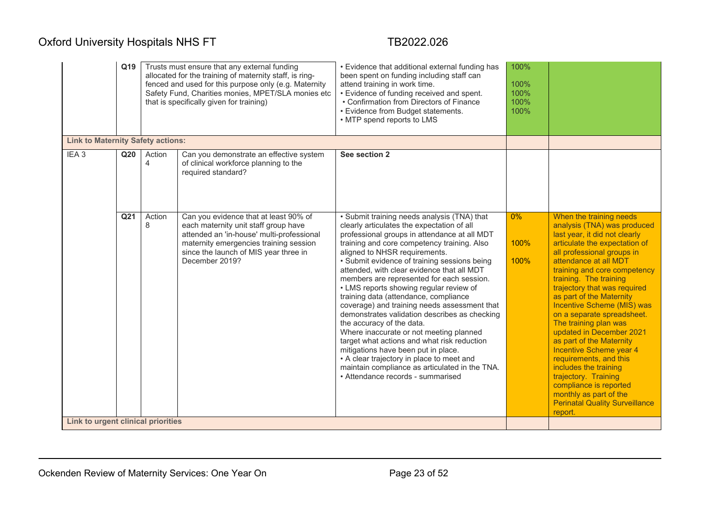|                                          | Q19             |                          | Trusts must ensure that any external funding<br>allocated for the training of maternity staff, is ring-<br>fenced and used for this purpose only (e.g. Maternity<br>Safety Fund, Charities monies, MPET/SLA monies etc<br>that is specifically given for training) | • Evidence that additional external funding has<br>been spent on funding including staff can<br>attend training in work time.<br>• Evidence of funding received and spent.<br>• Confirmation from Directors of Finance<br>• Evidence from Budget statements.<br>• MTP spend reports to LMS                                                                                                                                                                                                                                                                                                                                                                                                                                                                                                                                                                  | 100%<br>100%<br>100%<br>100%<br>100% |                                                                                                                                                                                                                                                                                                                                                                                                                                                                                                                                                                                                                                                                         |
|------------------------------------------|-----------------|--------------------------|--------------------------------------------------------------------------------------------------------------------------------------------------------------------------------------------------------------------------------------------------------------------|-------------------------------------------------------------------------------------------------------------------------------------------------------------------------------------------------------------------------------------------------------------------------------------------------------------------------------------------------------------------------------------------------------------------------------------------------------------------------------------------------------------------------------------------------------------------------------------------------------------------------------------------------------------------------------------------------------------------------------------------------------------------------------------------------------------------------------------------------------------|--------------------------------------|-------------------------------------------------------------------------------------------------------------------------------------------------------------------------------------------------------------------------------------------------------------------------------------------------------------------------------------------------------------------------------------------------------------------------------------------------------------------------------------------------------------------------------------------------------------------------------------------------------------------------------------------------------------------------|
| <b>Link to Maternity Safety actions:</b> |                 |                          |                                                                                                                                                                                                                                                                    |                                                                                                                                                                                                                                                                                                                                                                                                                                                                                                                                                                                                                                                                                                                                                                                                                                                             |                                      |                                                                                                                                                                                                                                                                                                                                                                                                                                                                                                                                                                                                                                                                         |
| IEA <sub>3</sub>                         | Q <sub>20</sub> | Action<br>$\overline{4}$ | Can you demonstrate an effective system<br>of clinical workforce planning to the<br>required standard?                                                                                                                                                             | See section 2                                                                                                                                                                                                                                                                                                                                                                                                                                                                                                                                                                                                                                                                                                                                                                                                                                               |                                      |                                                                                                                                                                                                                                                                                                                                                                                                                                                                                                                                                                                                                                                                         |
| Link to urgent clinical priorities       | Q <sub>21</sub> | Action<br>8              | Can you evidence that at least 90% of<br>each maternity unit staff group have<br>attended an 'in-house' multi-professional<br>maternity emergencies training session<br>since the launch of MIS year three in<br>December 2019?                                    | • Submit training needs analysis (TNA) that<br>clearly articulates the expectation of all<br>professional groups in attendance at all MDT<br>training and core competency training. Also<br>aligned to NHSR requirements.<br>• Submit evidence of training sessions being<br>attended, with clear evidence that all MDT<br>members are represented for each session.<br>• LMS reports showing regular review of<br>training data (attendance, compliance<br>coverage) and training needs assessment that<br>demonstrates validation describes as checking<br>the accuracy of the data.<br>Where inaccurate or not meeting planned<br>target what actions and what risk reduction<br>mitigations have been put in place.<br>• A clear trajectory in place to meet and<br>maintain compliance as articulated in the TNA.<br>• Attendance records - summarised | $0\%$<br>100%<br>100%                | When the training needs<br>analysis (TNA) was produced<br>last year, it did not clearly<br>articulate the expectation of<br>all professional groups in<br>attendance at all MDT<br>training and core competency<br>training. The training<br>trajectory that was required<br>as part of the Maternity<br><b>Incentive Scheme (MIS) was</b><br>on a separate spreadsheet.<br>The training plan was<br>updated in December 2021<br>as part of the Maternity<br>Incentive Scheme year 4<br>requirements, and this<br>includes the training<br>trajectory. Training<br>compliance is reported<br>monthly as part of the<br><b>Perinatal Quality Surveillance</b><br>report. |
|                                          |                 |                          |                                                                                                                                                                                                                                                                    |                                                                                                                                                                                                                                                                                                                                                                                                                                                                                                                                                                                                                                                                                                                                                                                                                                                             |                                      |                                                                                                                                                                                                                                                                                                                                                                                                                                                                                                                                                                                                                                                                         |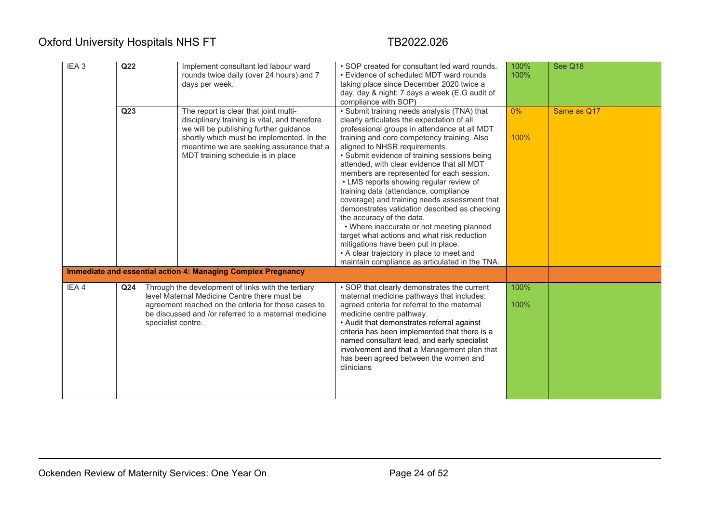| IEA <sub>3</sub> | Q <sub>22</sub> | Implement consultant led labour ward<br>rounds twice daily (over 24 hours) and 7<br>days per week.                                                                                                                                                             | • SOP created for consultant led ward rounds.<br>• Evidence of scheduled MDT ward rounds<br>taking place since December 2020 twice a<br>day, day & night; 7 days a week (E.G audit of<br>compliance with SOP)                                                                                                                                                                                                                                                                                                                                                                                                                                                                                                                                                                                                            | 100%<br>100%  | See Q18     |
|------------------|-----------------|----------------------------------------------------------------------------------------------------------------------------------------------------------------------------------------------------------------------------------------------------------------|--------------------------------------------------------------------------------------------------------------------------------------------------------------------------------------------------------------------------------------------------------------------------------------------------------------------------------------------------------------------------------------------------------------------------------------------------------------------------------------------------------------------------------------------------------------------------------------------------------------------------------------------------------------------------------------------------------------------------------------------------------------------------------------------------------------------------|---------------|-------------|
|                  | Q <sub>23</sub> | The report is clear that joint multi-<br>disciplinary training is vital, and therefore<br>we will be publishing further guidance<br>shortly which must be implemented. In the<br>meantime we are seeking assurance that a<br>MDT training schedule is in place | • Submit training needs analysis (TNA) that<br>clearly articulates the expectation of all<br>professional groups in attendance at all MDT<br>training and core competency training. Also<br>aligned to NHSR requirements.<br>• Submit evidence of training sessions being<br>attended, with clear evidence that all MDT<br>members are represented for each session.<br>• LMS reports showing regular review of<br>training data (attendance, compliance<br>coverage) and training needs assessment that<br>demonstrates validation described as checking<br>the accuracy of the data.<br>• Where inaccurate or not meeting planned<br>target what actions and what risk reduction<br>mitigations have been put in place.<br>• A clear trajectory in place to meet and<br>maintain compliance as articulated in the TNA. | $0\%$<br>100% | Same as Q17 |
|                  |                 | Immediate and essential action 4: Managing Complex Pregnancy                                                                                                                                                                                                   |                                                                                                                                                                                                                                                                                                                                                                                                                                                                                                                                                                                                                                                                                                                                                                                                                          |               |             |
| IEA4             | Q <sub>24</sub> | Through the development of links with the tertiary<br>level Maternal Medicine Centre there must be<br>agreement reached on the criteria for those cases to<br>be discussed and /or referred to a maternal medicine<br>specialist centre.                       | • SOP that clearly demonstrates the current<br>maternal medicine pathways that includes:<br>agreed criteria for referral to the maternal<br>medicine centre pathway.<br>• Audit that demonstrates referral against<br>criteria has been implemented that there is a<br>named consultant lead, and early specialist<br>involvement and that a Management plan that<br>has been agreed between the women and<br>clinicians                                                                                                                                                                                                                                                                                                                                                                                                 | 100%<br>100%  |             |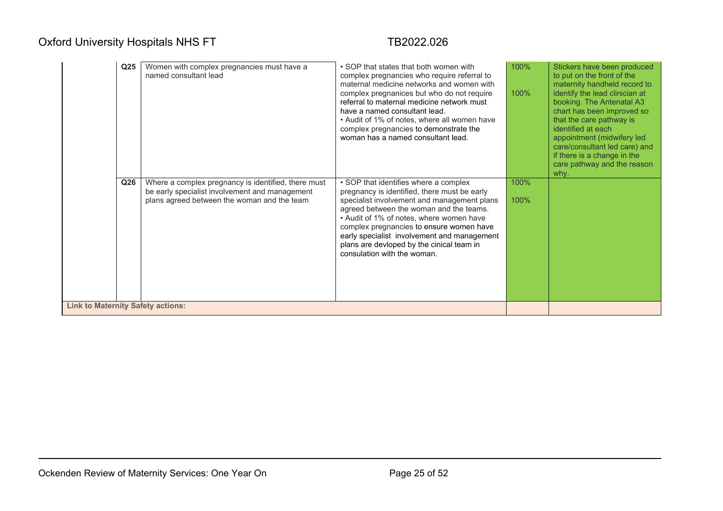|                                          | Q <sub>25</sub> | Women with complex pregnancies must have a<br>named consultant lead                                                                                  | • SOP that states that both women with<br>complex pregnancies who require referral to<br>maternal medicine networks and women with<br>complex pregnanices but who do not require<br>referral to maternal medicine network must<br>have a named consultant lead.<br>• Audit of 1% of notes, where all women have<br>complex pregnancies to demonstrate the<br>woman has a named consultant lead.    | 100%<br>100% | Stickers have been produced<br>to put on the front of the<br>maternity handheld record to<br>identify the lead clinician at<br>booking. The Antenatal A3<br>chart has been improved so<br>that the care pathway is<br>identified at each<br>appointment (midwifery led<br>care/consultant led care) and<br>if there is a change in the<br>care pathway and the reason<br>why. |
|------------------------------------------|-----------------|------------------------------------------------------------------------------------------------------------------------------------------------------|----------------------------------------------------------------------------------------------------------------------------------------------------------------------------------------------------------------------------------------------------------------------------------------------------------------------------------------------------------------------------------------------------|--------------|-------------------------------------------------------------------------------------------------------------------------------------------------------------------------------------------------------------------------------------------------------------------------------------------------------------------------------------------------------------------------------|
|                                          | Q <sub>26</sub> | Where a complex pregnancy is identified, there must<br>be early specialist involvement and management<br>plans agreed between the woman and the team | • SOP that identifies where a complex<br>pregnancy is identified, there must be early<br>specialist involvement and management plans<br>agreed between the woman and the teams.<br>• Audit of 1% of notes, where women have<br>complex pregnancies to ensure women have<br>early specialist involvement and management<br>plans are devloped by the cinical team in<br>consulation with the woman. | 100%<br>100% |                                                                                                                                                                                                                                                                                                                                                                               |
| <b>Link to Maternity Safety actions:</b> |                 |                                                                                                                                                      |                                                                                                                                                                                                                                                                                                                                                                                                    |              |                                                                                                                                                                                                                                                                                                                                                                               |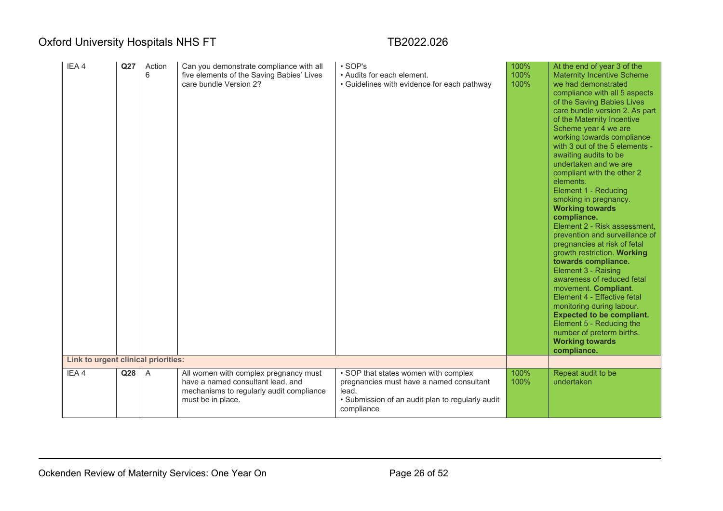| IEA4<br>Link to urgent clinical priorities: | Q27             | Action<br>6    | Can you demonstrate compliance with all<br>five elements of the Saving Babies' Lives<br>care bundle Version 2?                              | $\cdot$ SOP's<br>• Audits for each element.<br>• Guidelines with evidence for each pathway                                                                  | 100%<br>100%<br>100% | At the end of year 3 of the<br><b>Maternity Incentive Scheme</b><br>we had demonstrated<br>compliance with all 5 aspects<br>of the Saving Babies Lives<br>care bundle version 2. As part<br>of the Maternity Incentive<br>Scheme year 4 we are<br>working towards compliance<br>with 3 out of the 5 elements -<br>awaiting audits to be<br>undertaken and we are<br>compliant with the other 2<br>elements.<br>Element 1 - Reducing<br>smoking in pregnancy.<br><b>Working towards</b><br>compliance.<br>Element 2 - Risk assessment,<br>prevention and surveillance of<br>pregnancies at risk of fetal<br>growth restriction. Working<br>towards compliance.<br>Element 3 - Raising<br>awareness of reduced fetal<br>movement. Compliant.<br>Element 4 - Effective fetal<br>monitoring during labour.<br><b>Expected to be compliant.</b><br>Element 5 - Reducing the<br>number of preterm births.<br><b>Working towards</b><br>compliance. |
|---------------------------------------------|-----------------|----------------|---------------------------------------------------------------------------------------------------------------------------------------------|-------------------------------------------------------------------------------------------------------------------------------------------------------------|----------------------|----------------------------------------------------------------------------------------------------------------------------------------------------------------------------------------------------------------------------------------------------------------------------------------------------------------------------------------------------------------------------------------------------------------------------------------------------------------------------------------------------------------------------------------------------------------------------------------------------------------------------------------------------------------------------------------------------------------------------------------------------------------------------------------------------------------------------------------------------------------------------------------------------------------------------------------------|
|                                             |                 |                |                                                                                                                                             |                                                                                                                                                             |                      |                                                                                                                                                                                                                                                                                                                                                                                                                                                                                                                                                                                                                                                                                                                                                                                                                                                                                                                                              |
| IEA4                                        | Q <sub>28</sub> | $\overline{A}$ | All women with complex pregnancy must<br>have a named consultant lead, and<br>mechanisms to regularly audit compliance<br>must be in place. | • SOP that states women with complex<br>pregnancies must have a named consultant<br>lead.<br>• Submission of an audit plan to regularly audit<br>compliance | 100%<br>100%         | Repeat audit to be<br>undertaken                                                                                                                                                                                                                                                                                                                                                                                                                                                                                                                                                                                                                                                                                                                                                                                                                                                                                                             |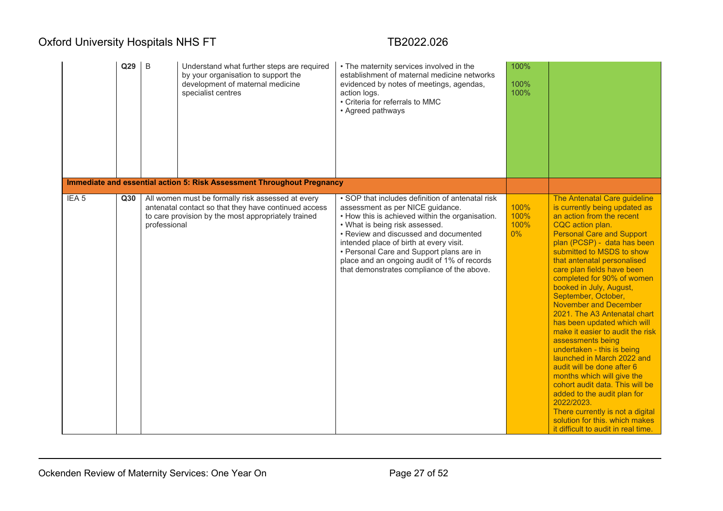|                  | Q29 | $\mathsf B$<br>Understand what further steps are required<br>by your organisation to support the<br>development of maternal medicine<br>specialist centres<br>Immediate and essential action 5: Risk Assessment Throughout Pregnancy | • The maternity services involved in the<br>establishment of maternal medicine networks<br>evidenced by notes of meetings, agendas,<br>action logs.<br>• Criteria for referrals to MMC<br>• Agreed pathways                                                                                                                                                                                            | 100%<br>100%<br>100%          |                                                                                                                                                                                                                                                                                                                                                                                                                                                                                                                                                                                                                                                                                                                                                                                                                                          |
|------------------|-----|--------------------------------------------------------------------------------------------------------------------------------------------------------------------------------------------------------------------------------------|--------------------------------------------------------------------------------------------------------------------------------------------------------------------------------------------------------------------------------------------------------------------------------------------------------------------------------------------------------------------------------------------------------|-------------------------------|------------------------------------------------------------------------------------------------------------------------------------------------------------------------------------------------------------------------------------------------------------------------------------------------------------------------------------------------------------------------------------------------------------------------------------------------------------------------------------------------------------------------------------------------------------------------------------------------------------------------------------------------------------------------------------------------------------------------------------------------------------------------------------------------------------------------------------------|
| IEA <sub>5</sub> | Q30 | All women must be formally risk assessed at every<br>antenatal contact so that they have continued access<br>to care provision by the most appropriately trained<br>professional                                                     | • SOP that includes definition of antenatal risk<br>assessment as per NICE guidance.<br>• How this is achieved within the organisation.<br>• What is being risk assessed.<br>• Review and discussed and documented<br>intended place of birth at every visit.<br>• Personal Care and Support plans are in<br>place and an ongoing audit of 1% of records<br>that demonstrates compliance of the above. | 100%<br>100%<br>100%<br>$0\%$ | The Antenatal Care guideline<br>is currently being updated as<br>an action from the recent<br>CQC action plan.<br><b>Personal Care and Support</b><br>plan (PCSP) - data has been<br>submitted to MSDS to show<br>that antenatal personalised<br>care plan fields have been<br>completed for 90% of women<br>booked in July, August,<br>September, October,<br><b>November and December</b><br>2021. The A3 Antenatal chart<br>has been updated which will<br>make it easier to audit the risk<br>assessments being<br>undertaken - this is being<br>launched in March 2022 and<br>audit will be done after 6<br>months which will give the<br>cohort audit data. This will be<br>added to the audit plan for<br>2022/2023.<br>There currently is not a digital<br>solution for this. which makes<br>it difficult to audit in real time. |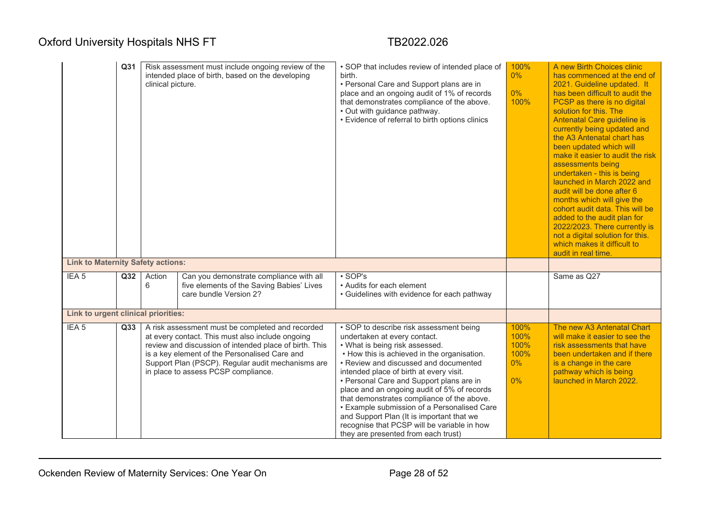|                                          | Q <sub>31</sub> | intended place of birth, based on the developing<br>clinical picture. |                                                                                                                                                                                                                                                                                                             | • SOP that includes review of intended place of<br>birth.<br>• Personal Care and Support plans are in<br>place and an ongoing audit of 1% of records<br>that demonstrates compliance of the above.<br>• Out with guidance pathway.<br>• Evidence of referral to birth options clinics                                                                                                                                                                                                                                                                                   | 100%<br>0%<br>$0\%$<br>100%              | A new Birth Choices clinic<br>has commenced at the end of<br>2021. Guideline updated. It<br>has been difficult to audit the<br>PCSP as there is no digital<br>solution for this. The<br>Antenatal Care guideline is<br>currently being updated and<br>the A3 Antenatal chart has<br>been updated which will<br>make it easier to audit the risk<br>assessments being<br>undertaken - this is being<br>launched in March 2022 and<br>audit will be done after 6<br>months which will give the<br>cohort audit data. This will be<br>added to the audit plan for<br>2022/2023. There currently is<br>not a digital solution for this.<br>which makes it difficult to<br>audit in real time |
|------------------------------------------|-----------------|-----------------------------------------------------------------------|-------------------------------------------------------------------------------------------------------------------------------------------------------------------------------------------------------------------------------------------------------------------------------------------------------------|-------------------------------------------------------------------------------------------------------------------------------------------------------------------------------------------------------------------------------------------------------------------------------------------------------------------------------------------------------------------------------------------------------------------------------------------------------------------------------------------------------------------------------------------------------------------------|------------------------------------------|------------------------------------------------------------------------------------------------------------------------------------------------------------------------------------------------------------------------------------------------------------------------------------------------------------------------------------------------------------------------------------------------------------------------------------------------------------------------------------------------------------------------------------------------------------------------------------------------------------------------------------------------------------------------------------------|
| <b>Link to Maternity Safety actions:</b> |                 |                                                                       |                                                                                                                                                                                                                                                                                                             |                                                                                                                                                                                                                                                                                                                                                                                                                                                                                                                                                                         |                                          |                                                                                                                                                                                                                                                                                                                                                                                                                                                                                                                                                                                                                                                                                          |
| IEA <sub>5</sub>                         | Q <sub>32</sub> | Action<br>6                                                           | Can you demonstrate compliance with all<br>five elements of the Saving Babies' Lives<br>care bundle Version 2?                                                                                                                                                                                              | $\cdot$ SOP's<br>• Audits for each element<br>• Guidelines with evidence for each pathway                                                                                                                                                                                                                                                                                                                                                                                                                                                                               |                                          | Same as Q27                                                                                                                                                                                                                                                                                                                                                                                                                                                                                                                                                                                                                                                                              |
| Link to urgent clinical priorities:      |                 |                                                                       |                                                                                                                                                                                                                                                                                                             |                                                                                                                                                                                                                                                                                                                                                                                                                                                                                                                                                                         |                                          |                                                                                                                                                                                                                                                                                                                                                                                                                                                                                                                                                                                                                                                                                          |
| IEA <sub>5</sub>                         | Q <sub>33</sub> |                                                                       | A risk assessment must be completed and recorded<br>at every contact. This must also include ongoing<br>review and discussion of intended place of birth. This<br>is a key element of the Personalised Care and<br>Support Plan (PSCP). Regular audit mechanisms are<br>in place to assess PCSP compliance. | • SOP to describe risk assessment being<br>undertaken at every contact.<br>• What is being risk assessed.<br>• How this is achieved in the organisation.<br>• Review and discussed and documented<br>intended place of birth at every visit.<br>• Personal Care and Support plans are in<br>place and an ongoing audit of 5% of records<br>that demonstrates compliance of the above.<br>• Example submission of a Personalised Care<br>and Support Plan (It is important that we<br>recognise that PCSP will be variable in how<br>they are presented from each trust) | 100%<br>100%<br>100%<br>100%<br>0%<br>0% | The new A3 Antenatal Chart<br>will make it easier to see the<br>risk assessments that have<br>been undertaken and if there<br>is a change in the care<br>pathway which is being<br>launched in March 2022.                                                                                                                                                                                                                                                                                                                                                                                                                                                                               |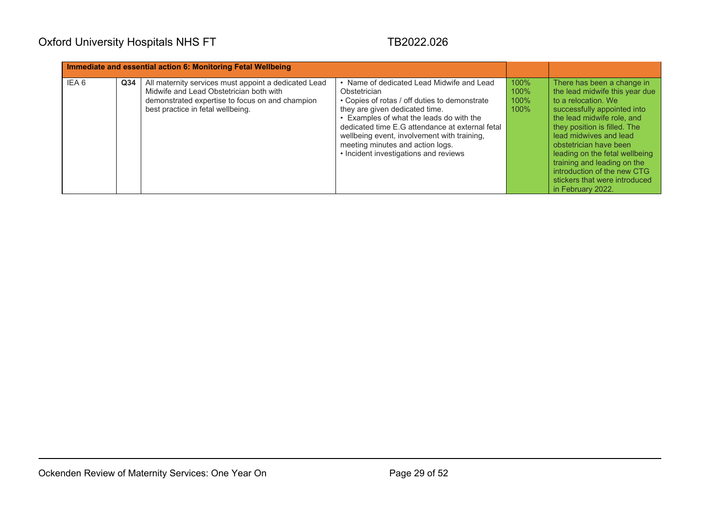| Immediate and essential action 6: Monitoring Fetal Wellbeing |                 |                                                                                                                                                                                         |                                                                                                                                                                                                                                                                                                                                                                         |                                 |                                                                                                                                                                                                                                                                                                                                                                                            |
|--------------------------------------------------------------|-----------------|-----------------------------------------------------------------------------------------------------------------------------------------------------------------------------------------|-------------------------------------------------------------------------------------------------------------------------------------------------------------------------------------------------------------------------------------------------------------------------------------------------------------------------------------------------------------------------|---------------------------------|--------------------------------------------------------------------------------------------------------------------------------------------------------------------------------------------------------------------------------------------------------------------------------------------------------------------------------------------------------------------------------------------|
| IEA 6                                                        | Q <sub>34</sub> | All maternity services must appoint a dedicated Lead<br>Midwife and Lead Obstetrician both with<br>demonstrated expertise to focus on and champion<br>best practice in fetal wellbeing. | • Name of dedicated Lead Midwife and Lead<br>Obstetrician<br>• Copies of rotas / off duties to demonstrate<br>they are given dedicated time.<br>• Examples of what the leads do with the<br>dedicated time E.G attendance at external fetal<br>wellbeing event, involvement with training,<br>meeting minutes and action logs.<br>• Incident investigations and reviews | 100%<br>100%<br>$100\%$<br>100% | There has been a change in<br>the lead midwife this year due<br>to a relocation. We<br>successfully appointed into<br>the lead midwife role, and<br>they position is filled. The<br>lead midwives and lead<br>obstetrician have been<br>leading on the fetal wellbeing<br>training and leading on the<br>introduction of the new CTG<br>stickers that were introduced<br>in February 2022. |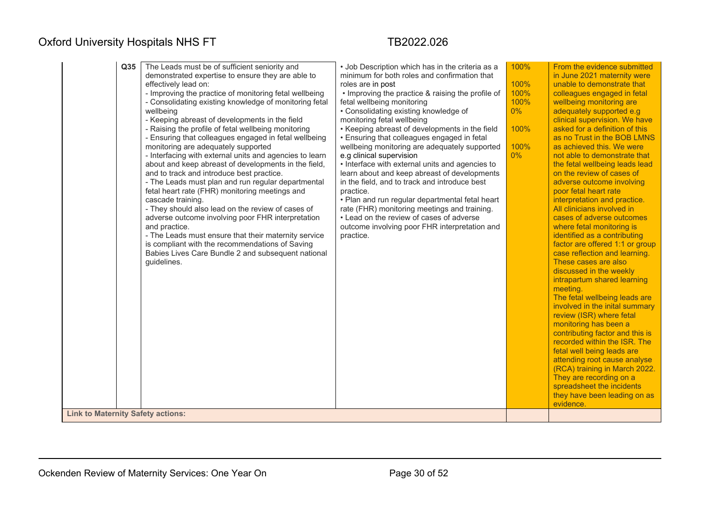| <b>Link to Maternity Safety actions:</b> | Q <sub>35</sub> | The Leads must be of sufficient seniority and<br>demonstrated expertise to ensure they are able to<br>effectively lead on:<br>- Improving the practice of monitoring fetal wellbeing<br>- Consolidating existing knowledge of monitoring fetal<br>wellbeing<br>- Keeping abreast of developments in the field<br>- Raising the profile of fetal wellbeing monitoring<br>- Ensuring that colleagues engaged in fetal wellbeing<br>monitoring are adequately supported<br>- Interfacing with external units and agencies to learn<br>about and keep abreast of developments in the field,<br>and to track and introduce best practice.<br>- The Leads must plan and run regular departmental<br>fetal heart rate (FHR) monitoring meetings and<br>cascade training.<br>- They should also lead on the review of cases of<br>adverse outcome involving poor FHR interpretation<br>and practice.<br>- The Leads must ensure that their maternity service<br>is compliant with the recommendations of Saving<br>Babies Lives Care Bundle 2 and subsequent national<br>guidelines. | • Job Description which has in the criteria as a<br>minimum for both roles and confirmation that<br>roles are in post<br>• Improving the practice & raising the profile of<br>fetal wellbeing monitoring<br>• Consolidating existing knowledge of<br>monitoring fetal wellbeing<br>• Keeping abreast of developments in the field<br>• Ensuring that colleagues engaged in fetal<br>wellbeing monitoring are adequately supported<br>e.g clinical supervision<br>• Interface with external units and agencies to<br>learn about and keep abreast of developments<br>in the field, and to track and introduce best<br>practice.<br>• Plan and run regular departmental fetal heart<br>rate (FHR) monitoring meetings and training.<br>• Lead on the review of cases of adverse<br>outcome involving poor FHR interpretation and<br>practice. | 100%<br>100%<br>100%<br>100%<br>$0\%$<br>100%<br>100%<br>$0\%$ | From the evidence submitted<br>in June 2021 maternity were<br>unable to demonstrate that<br>colleagues engaged in fetal<br>wellbeing monitoring are<br>adequately supported e.g<br>clinical supervision. We have<br>asked for a definition of this<br>as no Trust in the BOB LMNS<br>as achieved this. We were<br>not able to demonstrate that<br>the fetal wellbeing leads lead<br>on the review of cases of<br>adverse outcome involving<br>poor fetal heart rate<br>interpretation and practice.<br>All clinicians involved in<br>cases of adverse outcomes<br>where fetal monitoring is<br>identified as a contributing<br>factor are offered 1:1 or group<br>case reflection and learning.<br>These cases are also<br>discussed in the weekly<br>intrapartum shared learning<br>meeting.<br>The fetal wellbeing leads are<br>involved in the inital summary<br>review (ISR) where fetal<br>monitoring has been a<br>contributing factor and this is<br>recorded within the ISR. The<br>fetal well being leads are<br>attending root cause analyse<br>(RCA) training in March 2022.<br>They are recording on a<br>spreadsheet the incidents<br>they have been leading on as<br>evidence. |
|------------------------------------------|-----------------|------------------------------------------------------------------------------------------------------------------------------------------------------------------------------------------------------------------------------------------------------------------------------------------------------------------------------------------------------------------------------------------------------------------------------------------------------------------------------------------------------------------------------------------------------------------------------------------------------------------------------------------------------------------------------------------------------------------------------------------------------------------------------------------------------------------------------------------------------------------------------------------------------------------------------------------------------------------------------------------------------------------------------------------------------------------------------|---------------------------------------------------------------------------------------------------------------------------------------------------------------------------------------------------------------------------------------------------------------------------------------------------------------------------------------------------------------------------------------------------------------------------------------------------------------------------------------------------------------------------------------------------------------------------------------------------------------------------------------------------------------------------------------------------------------------------------------------------------------------------------------------------------------------------------------------|----------------------------------------------------------------|----------------------------------------------------------------------------------------------------------------------------------------------------------------------------------------------------------------------------------------------------------------------------------------------------------------------------------------------------------------------------------------------------------------------------------------------------------------------------------------------------------------------------------------------------------------------------------------------------------------------------------------------------------------------------------------------------------------------------------------------------------------------------------------------------------------------------------------------------------------------------------------------------------------------------------------------------------------------------------------------------------------------------------------------------------------------------------------------------------------------------------------------------------------------------------------------|
|------------------------------------------|-----------------|------------------------------------------------------------------------------------------------------------------------------------------------------------------------------------------------------------------------------------------------------------------------------------------------------------------------------------------------------------------------------------------------------------------------------------------------------------------------------------------------------------------------------------------------------------------------------------------------------------------------------------------------------------------------------------------------------------------------------------------------------------------------------------------------------------------------------------------------------------------------------------------------------------------------------------------------------------------------------------------------------------------------------------------------------------------------------|---------------------------------------------------------------------------------------------------------------------------------------------------------------------------------------------------------------------------------------------------------------------------------------------------------------------------------------------------------------------------------------------------------------------------------------------------------------------------------------------------------------------------------------------------------------------------------------------------------------------------------------------------------------------------------------------------------------------------------------------------------------------------------------------------------------------------------------------|----------------------------------------------------------------|----------------------------------------------------------------------------------------------------------------------------------------------------------------------------------------------------------------------------------------------------------------------------------------------------------------------------------------------------------------------------------------------------------------------------------------------------------------------------------------------------------------------------------------------------------------------------------------------------------------------------------------------------------------------------------------------------------------------------------------------------------------------------------------------------------------------------------------------------------------------------------------------------------------------------------------------------------------------------------------------------------------------------------------------------------------------------------------------------------------------------------------------------------------------------------------------|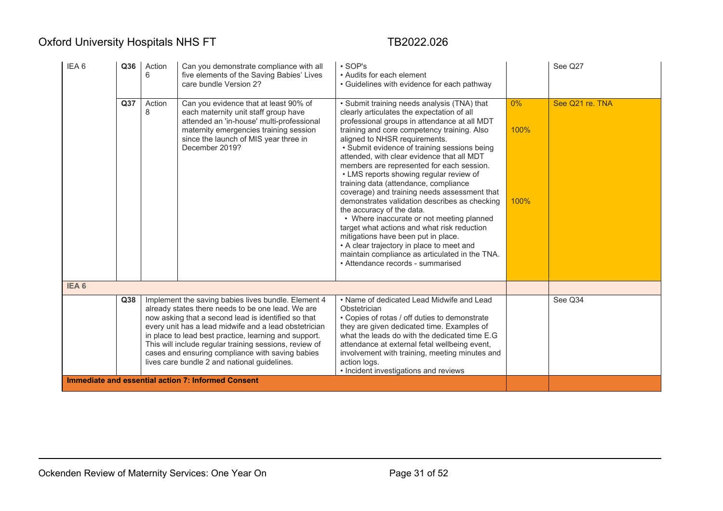| IEA <sub>6</sub> | Q36                                                                                                                                                                                                                                                                                                                                                                                                                                                                                                                 | Action<br>6 | Can you demonstrate compliance with all<br>five elements of the Saving Babies' Lives<br>care bundle Version 2?                                                                                                                  | $\cdot$ SOP's<br>• Audits for each element<br>• Guidelines with evidence for each pathway                                                                                                                                                                                                                                                                                                                                                                                                                                                                                                                                                                                                                                                                                                                                                                     |                       | See Q27         |
|------------------|---------------------------------------------------------------------------------------------------------------------------------------------------------------------------------------------------------------------------------------------------------------------------------------------------------------------------------------------------------------------------------------------------------------------------------------------------------------------------------------------------------------------|-------------|---------------------------------------------------------------------------------------------------------------------------------------------------------------------------------------------------------------------------------|---------------------------------------------------------------------------------------------------------------------------------------------------------------------------------------------------------------------------------------------------------------------------------------------------------------------------------------------------------------------------------------------------------------------------------------------------------------------------------------------------------------------------------------------------------------------------------------------------------------------------------------------------------------------------------------------------------------------------------------------------------------------------------------------------------------------------------------------------------------|-----------------------|-----------------|
|                  | Q37                                                                                                                                                                                                                                                                                                                                                                                                                                                                                                                 | Action<br>8 | Can you evidence that at least 90% of<br>each maternity unit staff group have<br>attended an 'in-house' multi-professional<br>maternity emergencies training session<br>since the launch of MIS year three in<br>December 2019? | • Submit training needs analysis (TNA) that<br>clearly articulates the expectation of all<br>professional groups in attendance at all MDT<br>training and core competency training. Also<br>aligned to NHSR requirements.<br>• Submit evidence of training sessions being<br>attended, with clear evidence that all MDT<br>members are represented for each session.<br>• LMS reports showing regular review of<br>training data (attendance, compliance<br>coverage) and training needs assessment that<br>demonstrates validation describes as checking<br>the accuracy of the data.<br>• Where inaccurate or not meeting planned<br>target what actions and what risk reduction<br>mitigations have been put in place.<br>• A clear trajectory in place to meet and<br>maintain compliance as articulated in the TNA.<br>• Attendance records - summarised | $0\%$<br>100%<br>100% | See Q21 re. TNA |
| IEA <sub>6</sub> |                                                                                                                                                                                                                                                                                                                                                                                                                                                                                                                     |             |                                                                                                                                                                                                                                 |                                                                                                                                                                                                                                                                                                                                                                                                                                                                                                                                                                                                                                                                                                                                                                                                                                                               |                       |                 |
|                  | Implement the saving babies lives bundle. Element 4<br>Q38<br>already states there needs to be one lead. We are<br>now asking that a second lead is identified so that<br>every unit has a lead midwife and a lead obstetrician<br>in place to lead best practice, learning and support.<br>This will include regular training sessions, review of<br>cases and ensuring compliance with saving babies<br>lives care bundle 2 and national guidelines.<br><b>Immediate and essential action 7: Informed Consent</b> |             |                                                                                                                                                                                                                                 | • Name of dedicated Lead Midwife and Lead<br>Obstetrician<br>• Copies of rotas / off duties to demonstrate<br>they are given dedicated time. Examples of<br>what the leads do with the dedicated time E.G<br>attendance at external fetal wellbeing event,<br>involvement with training, meeting minutes and<br>action logs.<br>• Incident investigations and reviews                                                                                                                                                                                                                                                                                                                                                                                                                                                                                         |                       | See Q34         |
|                  |                                                                                                                                                                                                                                                                                                                                                                                                                                                                                                                     |             |                                                                                                                                                                                                                                 |                                                                                                                                                                                                                                                                                                                                                                                                                                                                                                                                                                                                                                                                                                                                                                                                                                                               |                       |                 |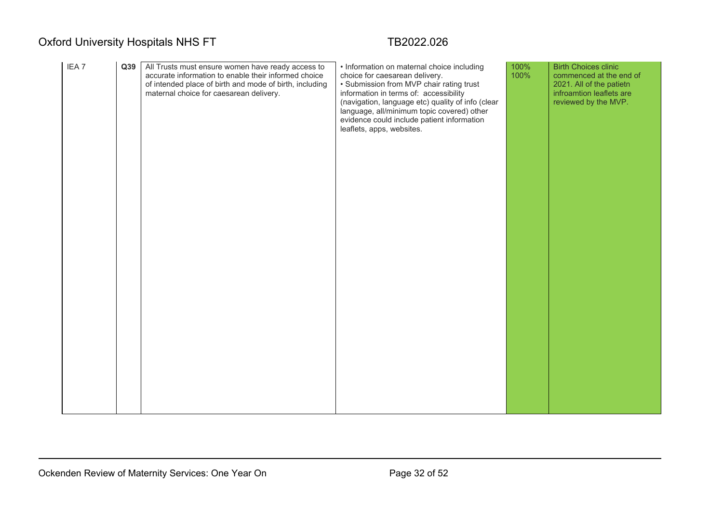| IEA <sub>7</sub> | Q39 | All Trusts must ensure women have ready access to<br>accurate information to enable their informed choice<br>of intended place of birth and mode of birth, including<br>maternal choice for caesarean delivery. | • Information on maternal choice including<br>choice for caesarean delivery.<br>• Submission from MVP chair rating trust<br>information in terms of: accessibility<br>(navigation, language etc) quality of info (clear<br>language, all/minimum topic covered) other<br>evidence could include patient information<br>leaflets, apps, websites. | 100%<br>100% | <b>Birth Choices clinic</b><br>commenced at the end of<br>2021. All of the patietn<br>infroamtion leaflets are<br>reviewed by the MVP. |
|------------------|-----|-----------------------------------------------------------------------------------------------------------------------------------------------------------------------------------------------------------------|--------------------------------------------------------------------------------------------------------------------------------------------------------------------------------------------------------------------------------------------------------------------------------------------------------------------------------------------------|--------------|----------------------------------------------------------------------------------------------------------------------------------------|
|                  |     |                                                                                                                                                                                                                 |                                                                                                                                                                                                                                                                                                                                                  |              |                                                                                                                                        |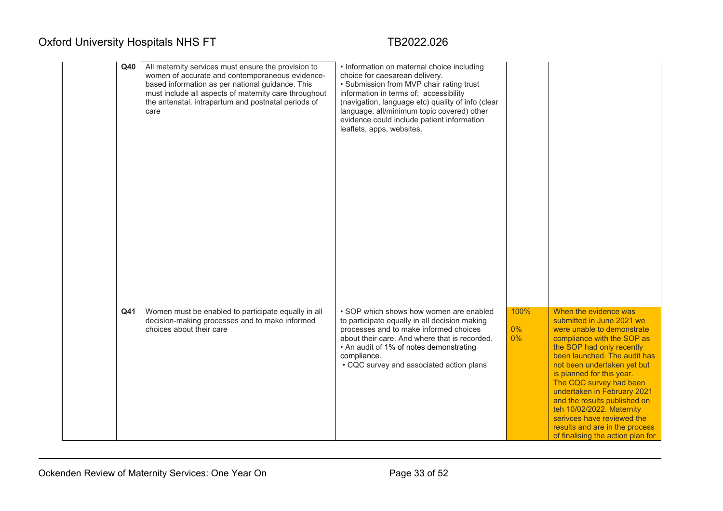| Q40 | All maternity services must ensure the provision to<br>women of accurate and contemporaneous evidence-<br>based information as per national guidance. This<br>must include all aspects of maternity care throughout<br>the antenatal, intrapartum and postnatal periods of<br>care | • Information on maternal choice including<br>choice for caesarean delivery.<br>• Submission from MVP chair rating trust<br>information in terms of: accessibility<br>(navigation, language etc) quality of info (clear<br>language, all/minimum topic covered) other<br>evidence could include patient information<br>leaflets, apps, websites. |                        |                                                                                                                                                                                                                                                                                                                                                                                                                                                                     |
|-----|------------------------------------------------------------------------------------------------------------------------------------------------------------------------------------------------------------------------------------------------------------------------------------|--------------------------------------------------------------------------------------------------------------------------------------------------------------------------------------------------------------------------------------------------------------------------------------------------------------------------------------------------|------------------------|---------------------------------------------------------------------------------------------------------------------------------------------------------------------------------------------------------------------------------------------------------------------------------------------------------------------------------------------------------------------------------------------------------------------------------------------------------------------|
| Q41 | Women must be enabled to participate equally in all<br>decision-making processes and to make informed<br>choices about their care                                                                                                                                                  | • SOP which shows how women are enabled<br>to participate equally in all decision making<br>processes and to make informed choices<br>about their care. And where that is recorded.<br>• An audit of 1% of notes demonstrating<br>compliance.<br>• CQC survey and associated action plans                                                        | 100%<br>$0\%$<br>$0\%$ | When the evidence was<br>submitted in June 2021 we<br>were unable to demonstrate<br>compliance with the SOP as<br>the SOP had only recently<br>been launched. The audit has<br>not been undertaken yet but<br>is planned for this year.<br>The CQC survey had been<br>undertaken in February 2021<br>and the results published on<br>teh 10/02/2022. Maternity<br>serivces have reviewed the<br>results and are in the process<br>of finalising the action plan for |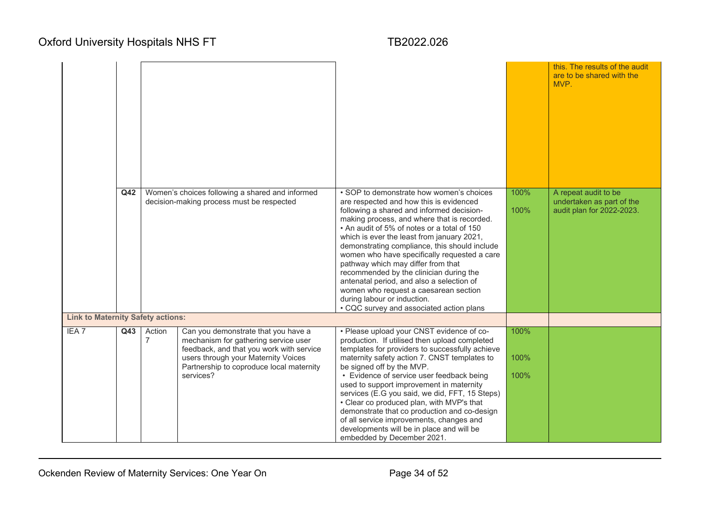|                                          |     |                                                                                              |                                                                                                                                                                                                                         |                                                                                                                                                                                                                                                                                                                                                                                                                                                                                                                                                                                                                                 |                      | this. The results of the audit<br>are to be shared with the<br>MVP.            |
|------------------------------------------|-----|----------------------------------------------------------------------------------------------|-------------------------------------------------------------------------------------------------------------------------------------------------------------------------------------------------------------------------|---------------------------------------------------------------------------------------------------------------------------------------------------------------------------------------------------------------------------------------------------------------------------------------------------------------------------------------------------------------------------------------------------------------------------------------------------------------------------------------------------------------------------------------------------------------------------------------------------------------------------------|----------------------|--------------------------------------------------------------------------------|
|                                          | Q42 | Women's choices following a shared and informed<br>decision-making process must be respected |                                                                                                                                                                                                                         | • SOP to demonstrate how women's choices<br>are respected and how this is evidenced<br>following a shared and informed decision-<br>making process, and where that is recorded.<br>• An audit of 5% of notes or a total of 150<br>which is ever the least from january 2021,<br>demonstrating compliance, this should include<br>women who have specifically requested a care<br>pathway which may differ from that<br>recommended by the clinician during the<br>antenatal period, and also a selection of<br>women who request a caesarean section<br>during labour or induction.<br>• CQC survey and associated action plans | 100%<br>100%         | A repeat audit to be<br>undertaken as part of the<br>audit plan for 2022-2023. |
| <b>Link to Maternity Safety actions:</b> |     |                                                                                              |                                                                                                                                                                                                                         |                                                                                                                                                                                                                                                                                                                                                                                                                                                                                                                                                                                                                                 |                      |                                                                                |
| IEA <sub>7</sub>                         | Q43 | Action<br>$\overline{7}$                                                                     | Can you demonstrate that you have a<br>mechanism for gathering service user<br>feedback, and that you work with service<br>users through your Maternity Voices<br>Partnership to coproduce local maternity<br>services? | • Please upload your CNST evidence of co-<br>production. If utilised then upload completed<br>templates for providers to successfully achieve<br>maternity safety action 7. CNST templates to<br>be signed off by the MVP.<br>• Evidence of service user feedback being<br>used to support improvement in maternity<br>services (E.G you said, we did, FFT, 15 Steps)<br>• Clear co produced plan, with MVP's that<br>demonstrate that co production and co-design<br>of all service improvements, changes and<br>developments will be in place and will be<br>embedded by December 2021.                                       | 100%<br>100%<br>100% |                                                                                |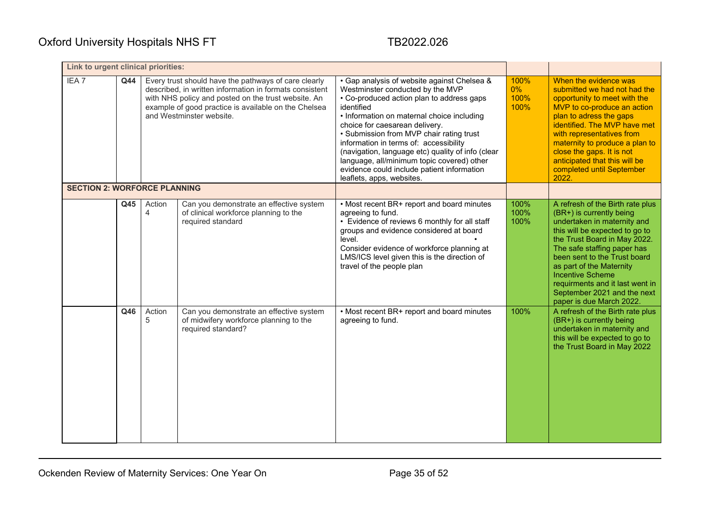| Link to urgent clinical priorities: |     |             |                                                                                                                                                                                                                                                            |                                                                                                                                                                                                                                                                                                                                                                                                                                                                                                |                               |                                                                                                                                                                                                                                                                                                                                                                                   |
|-------------------------------------|-----|-------------|------------------------------------------------------------------------------------------------------------------------------------------------------------------------------------------------------------------------------------------------------------|------------------------------------------------------------------------------------------------------------------------------------------------------------------------------------------------------------------------------------------------------------------------------------------------------------------------------------------------------------------------------------------------------------------------------------------------------------------------------------------------|-------------------------------|-----------------------------------------------------------------------------------------------------------------------------------------------------------------------------------------------------------------------------------------------------------------------------------------------------------------------------------------------------------------------------------|
| IEA <sub>7</sub>                    | Q44 |             | Every trust should have the pathways of care clearly<br>described, in written information in formats consistent<br>with NHS policy and posted on the trust website. An<br>example of good practice is available on the Chelsea<br>and Westminster website. | • Gap analysis of website against Chelsea &<br>Westminster conducted by the MVP<br>• Co-produced action plan to address gaps<br>identified<br>• Information on maternal choice including<br>choice for caesarean delivery.<br>• Submission from MVP chair rating trust<br>information in terms of: accessibility<br>(navigation, language etc) quality of info (clear<br>language, all/minimum topic covered) other<br>evidence could include patient information<br>leaflets, apps, websites. | 100%<br>$0\%$<br>100%<br>100% | When the evidence was<br>submitted we had not had the<br>opportunity to meet with the<br>MVP to co-produce an action<br>plan to adress the gaps<br>identified. The MVP have met<br>with representatives from<br>maternity to produce a plan to<br>close the gaps. It is not<br>anticipated that this will be<br>completed until September<br>2022.                                |
| <b>SECTION 2: WORFORCE PLANNING</b> |     |             |                                                                                                                                                                                                                                                            |                                                                                                                                                                                                                                                                                                                                                                                                                                                                                                |                               |                                                                                                                                                                                                                                                                                                                                                                                   |
|                                     | Q45 | Action<br>4 | Can you demonstrate an effective system<br>of clinical workforce planning to the<br>required standard                                                                                                                                                      | • Most recent BR+ report and board minutes<br>agreeing to fund.<br>• Evidence of reviews 6 monthly for all staff<br>groups and evidence considered at board<br>level.<br>Consider evidence of workforce planning at<br>LMS/ICS level given this is the direction of<br>travel of the people plan                                                                                                                                                                                               | 100%<br>100%<br>100%          | A refresh of the Birth rate plus<br>(BR+) is currently being<br>undertaken in maternity and<br>this will be expected to go to<br>the Trust Board in May 2022.<br>The safe staffing paper has<br>been sent to the Trust board<br>as part of the Maternity<br><b>Incentive Scheme</b><br>requirments and it last went in<br>September 2021 and the next<br>paper is due March 2022. |
|                                     | Q46 | Action<br>5 | Can you demonstrate an effective system<br>of midwifery workforce planning to the<br>required standard?                                                                                                                                                    | • Most recent BR+ report and board minutes<br>agreeing to fund.                                                                                                                                                                                                                                                                                                                                                                                                                                | 100%                          | A refresh of the Birth rate plus<br>(BR+) is currently being<br>undertaken in maternity and<br>this will be expected to go to<br>the Trust Board in May 2022                                                                                                                                                                                                                      |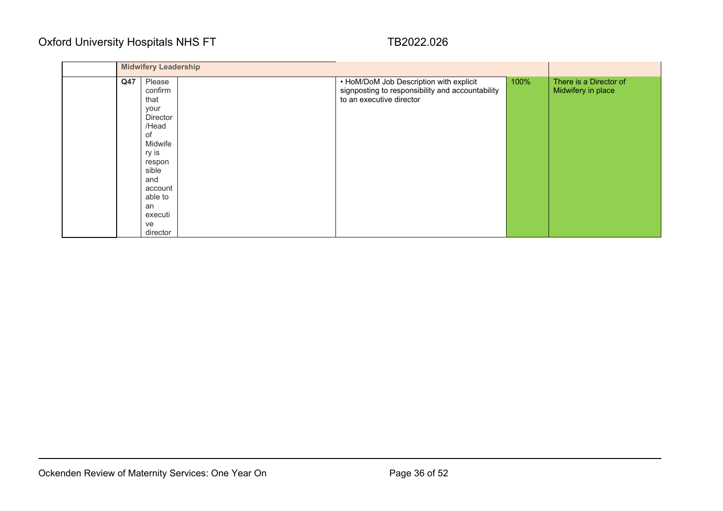|     | <b>Midwifery Leadership</b>                                                                                                                                         |                                                                                                                         |      |                                              |
|-----|---------------------------------------------------------------------------------------------------------------------------------------------------------------------|-------------------------------------------------------------------------------------------------------------------------|------|----------------------------------------------|
| Q47 | Please<br>confirm<br>that<br>your<br>Director<br>/Head<br>of<br>Midwife<br>ry is<br>respon<br>sible<br>and<br>account<br>able to<br>an<br>executi<br>ve<br>director | • HoM/DoM Job Description with explicit<br>signposting to responsibility and accountability<br>to an executive director | 100% | There is a Director of<br>Midwifery in place |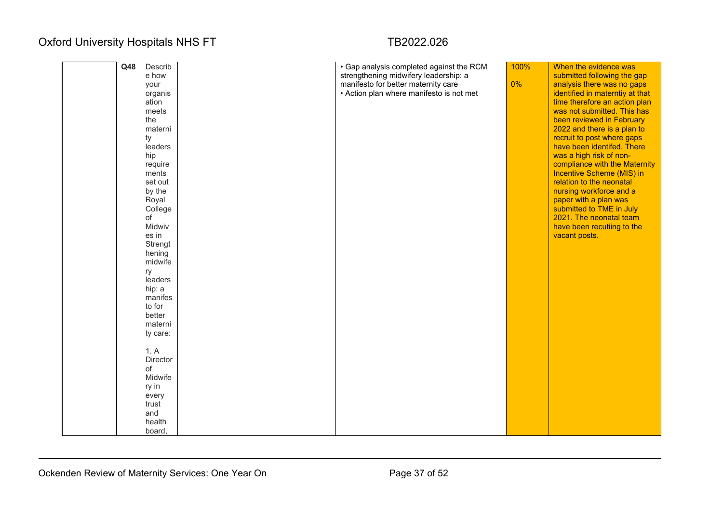# organis

| Q48 | Describ<br>e how<br>your<br>organis<br>ation<br>meets<br>the<br>materni<br>ty<br>leaders<br>hip<br>require<br>ments<br>set out<br>by the<br>Royal<br>College<br>of<br>Midwiv<br>es in<br>Strengt<br>hening<br>midwife<br>ry<br>leaders<br>hip: a<br>manifes<br>to for<br>better<br>materni<br>ty care:<br>1. A<br>Director<br>of<br>Midwife<br>ry in | · Gap analysis completed against the RCM<br>strengthening midwifery leadership: a<br>manifesto for better maternity care<br>• Action plan where manifesto is not met | 100%<br>0% | When the evidence was<br>submitted following the gap<br>analysis there was no gaps<br>identified in materntiy at that<br>time therefore an action plan<br>was not submitted. This has<br>been reviewed in February<br>2022 and there is a plan to<br>recruit to post where gaps<br>have been identifed. There<br>was a high risk of non-<br>compliance with the Maternity<br>Incentive Scheme (MIS) in<br>relation to the neonatal<br>nursing workforce and a<br>paper with a plan was<br>submitted to TME in July<br>2021. The neonatal team<br>have been recutiing to the<br>vacant posts. |
|-----|------------------------------------------------------------------------------------------------------------------------------------------------------------------------------------------------------------------------------------------------------------------------------------------------------------------------------------------------------|----------------------------------------------------------------------------------------------------------------------------------------------------------------------|------------|----------------------------------------------------------------------------------------------------------------------------------------------------------------------------------------------------------------------------------------------------------------------------------------------------------------------------------------------------------------------------------------------------------------------------------------------------------------------------------------------------------------------------------------------------------------------------------------------|
|     | every<br>trust<br>and<br>health                                                                                                                                                                                                                                                                                                                      |                                                                                                                                                                      |            |                                                                                                                                                                                                                                                                                                                                                                                                                                                                                                                                                                                              |
|     | board,                                                                                                                                                                                                                                                                                                                                               |                                                                                                                                                                      |            |                                                                                                                                                                                                                                                                                                                                                                                                                                                                                                                                                                                              |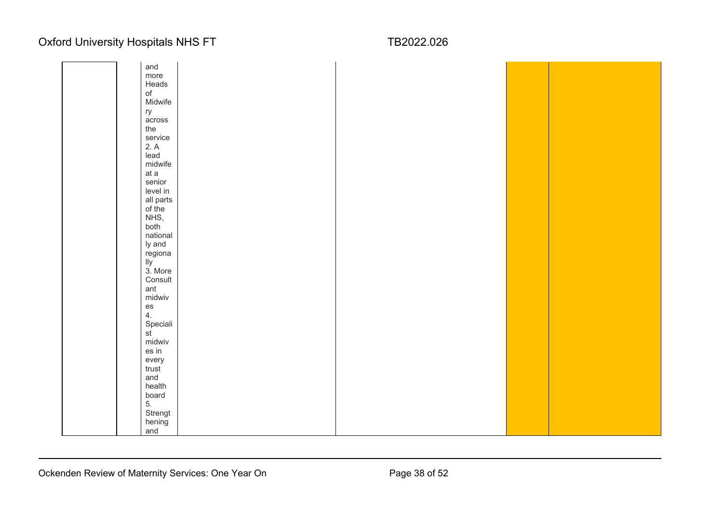|  | and                      |  |  |
|--|--------------------------|--|--|
|  | more                     |  |  |
|  | Heads                    |  |  |
|  | $\circ f$                |  |  |
|  | Midwife                  |  |  |
|  | ry                       |  |  |
|  | across                   |  |  |
|  | the                      |  |  |
|  |                          |  |  |
|  | service<br>2. A          |  |  |
|  |                          |  |  |
|  | lead                     |  |  |
|  | midwife                  |  |  |
|  | at a                     |  |  |
|  | senior                   |  |  |
|  | level in                 |  |  |
|  | all parts<br>of the      |  |  |
|  |                          |  |  |
|  | NHS,                     |  |  |
|  | both                     |  |  |
|  | national                 |  |  |
|  | ly and                   |  |  |
|  | regiona<br>lly           |  |  |
|  |                          |  |  |
|  | 3. More                  |  |  |
|  | Consult                  |  |  |
|  | ant                      |  |  |
|  | midwiv                   |  |  |
|  | es<br>4.                 |  |  |
|  |                          |  |  |
|  | Speciali                 |  |  |
|  | $\overline{\mathsf{st}}$ |  |  |
|  | midwiv                   |  |  |
|  | es in                    |  |  |
|  | every                    |  |  |
|  | trust                    |  |  |
|  | and                      |  |  |
|  | health                   |  |  |
|  | board<br>5.<br>Strengt   |  |  |
|  |                          |  |  |
|  |                          |  |  |
|  | hening                   |  |  |
|  | and                      |  |  |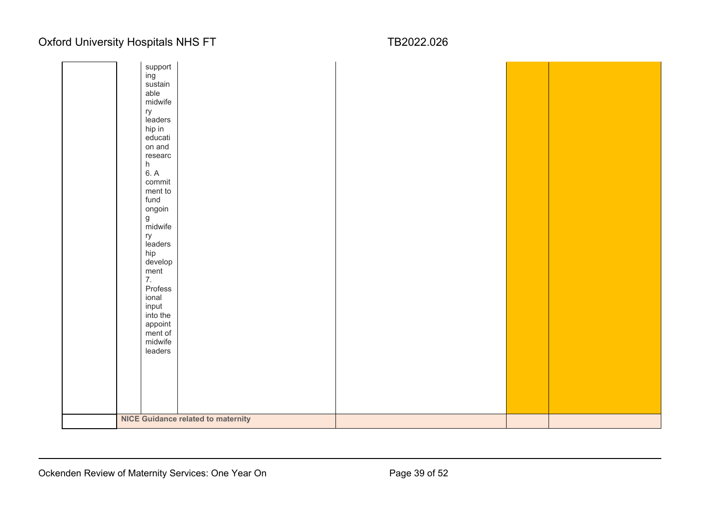| support                                   |  |
|-------------------------------------------|--|
| ing                                       |  |
| sustain                                   |  |
| able                                      |  |
| midwife                                   |  |
|                                           |  |
| ry<br>leaders                             |  |
|                                           |  |
| hip in                                    |  |
| educati                                   |  |
| on and                                    |  |
| researc                                   |  |
|                                           |  |
| $h$<br>6. A                               |  |
| commit                                    |  |
| ment to                                   |  |
| fund                                      |  |
| ongoin                                    |  |
|                                           |  |
| g<br>midwife                              |  |
| ry                                        |  |
| leaders                                   |  |
| hip                                       |  |
| develop                                   |  |
|                                           |  |
| ment<br>7.                                |  |
|                                           |  |
| Profess                                   |  |
| ional                                     |  |
| input                                     |  |
| into the                                  |  |
| appoint                                   |  |
| ment of                                   |  |
| midwife                                   |  |
| leaders                                   |  |
|                                           |  |
|                                           |  |
|                                           |  |
|                                           |  |
|                                           |  |
|                                           |  |
|                                           |  |
| <b>NICE Guidance related to maternity</b> |  |
|                                           |  |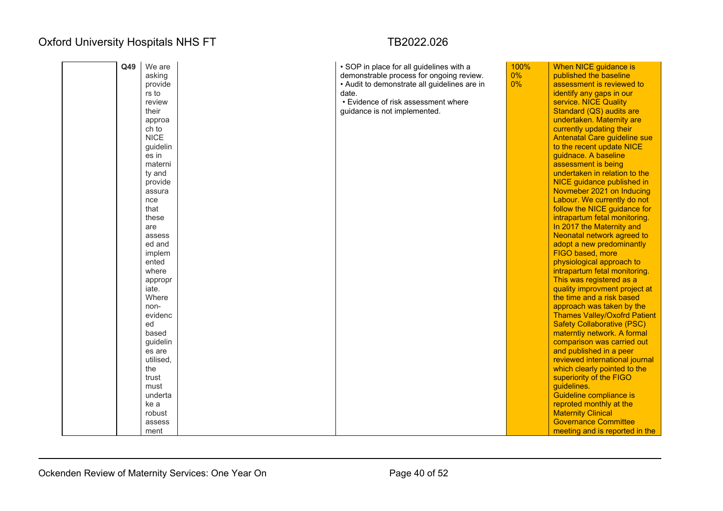| Q49 | We are             | • SOP in place for all guidelines with a     | 100%  | When NICE guidance is                                 |
|-----|--------------------|----------------------------------------------|-------|-------------------------------------------------------|
|     | asking             | demonstrable process for ongoing review.     | $0\%$ | published the baseline                                |
|     | provide            | • Audit to demonstrate all guidelines are in | 0%    | assessment is reviewed to                             |
|     | rs to              | date.                                        |       | identify any gaps in our                              |
|     | review             | • Evidence of risk assessment where          |       | service. NICE Quality                                 |
|     | their              | guidance is not implemented.                 |       | Standard (QS) audits are                              |
|     | approa             |                                              |       | undertaken. Maternity are                             |
|     | ch to              |                                              |       | currently updating their                              |
|     | <b>NICE</b>        |                                              |       | Antenatal Care guideline sue                          |
|     | guidelin           |                                              |       | to the recent update NICE                             |
|     | es in              |                                              |       | guidnace. A baseline                                  |
|     | materni            |                                              |       | assessment is being                                   |
|     | ty and             |                                              |       | undertaken in relation to the                         |
|     | provide            |                                              |       | <b>NICE</b> guidance published in                     |
|     | assura             |                                              |       | Novmeber 2021 on Inducing                             |
|     | nce                |                                              |       | Labour. We currently do not                           |
|     | that               |                                              |       | follow the NICE guidance for                          |
|     | these              |                                              |       | intrapartum fetal monitoring.                         |
|     | are                |                                              |       | In 2017 the Maternity and                             |
|     | assess             |                                              |       | Neonatal network agreed to                            |
|     | ed and             |                                              |       | adopt a new predominantly                             |
|     | implem             |                                              |       | FIGO based, more                                      |
|     | ented              |                                              |       | physiological approach to                             |
|     | where              |                                              |       | intrapartum fetal monitoring.                         |
|     | appropr            |                                              |       | This was registered as a                              |
|     | iate.              |                                              |       | quality improvment project at                         |
|     | Where              |                                              |       | the time and a risk based                             |
|     | non-               |                                              |       | approach was taken by the                             |
|     | evidenc<br>ed      |                                              |       | <b>Thames Valley/Oxofrd Patient</b>                   |
|     | based              |                                              |       | <b>Safety Collaborative (PSC)</b>                     |
|     |                    |                                              |       | materntiy network. A formal                           |
|     | guidelin<br>es are |                                              |       | comparison was carried out<br>and published in a peer |
|     | utilised,          |                                              |       | reviewed international journal                        |
|     | the                |                                              |       | which clearly pointed to the                          |
|     | trust              |                                              |       | superiority of the FIGO                               |
|     | must               |                                              |       | guidelines.                                           |
|     | underta            |                                              |       | Guideline compliance is                               |
|     | ke a               |                                              |       | reproted monthly at the                               |
|     | robust             |                                              |       | <b>Maternity Clinical</b>                             |
|     | assess             |                                              |       | <b>Governance Committee</b>                           |
|     | ment               |                                              |       | meeting and is reported in the                        |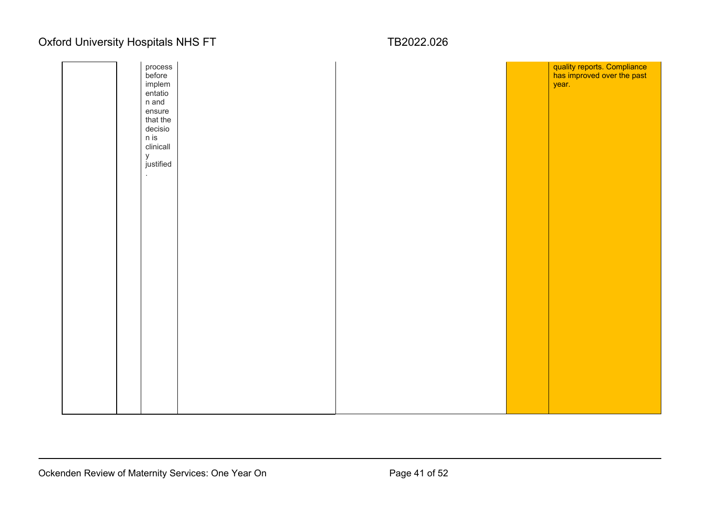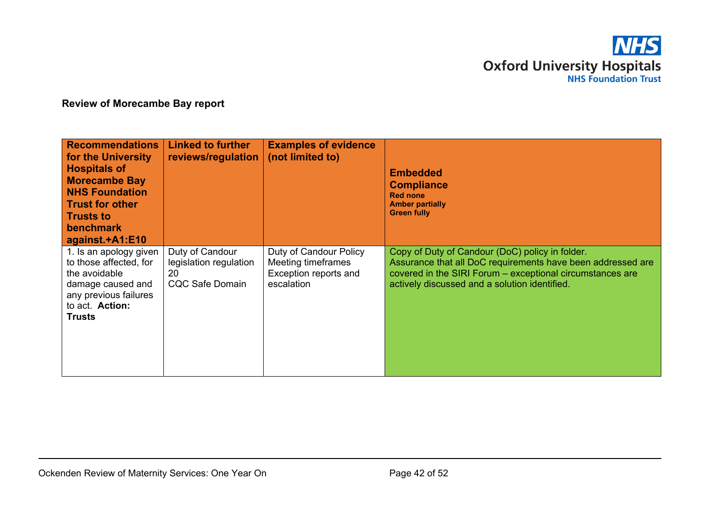

### **Review of Morecambe Bay report**

| <b>Recommendations</b><br>for the University<br><b>Hospitals of</b><br><b>Morecambe Bay</b><br><b>NHS Foundation</b><br><b>Trust for other</b><br><b>Trusts to</b><br><b>benchmark</b><br>against.+A1:E10 | <b>Linked to further</b><br>reviews/regulation                            | <b>Examples of evidence</b><br>(not limited to)                                     | <b>Embedded</b><br><b>Compliance</b><br><b>Red none</b><br><b>Amber partially</b><br><b>Green fully</b>                                                                                                                      |
|-----------------------------------------------------------------------------------------------------------------------------------------------------------------------------------------------------------|---------------------------------------------------------------------------|-------------------------------------------------------------------------------------|------------------------------------------------------------------------------------------------------------------------------------------------------------------------------------------------------------------------------|
| 1. Is an apology given<br>to those affected, for<br>the avoidable<br>damage caused and<br>any previous failures<br>to act. Action:<br>Trusts                                                              | Duty of Candour<br>legislation regulation<br>20<br><b>CQC Safe Domain</b> | Duty of Candour Policy<br>Meeting timeframes<br>Exception reports and<br>escalation | Copy of Duty of Candour (DoC) policy in folder.<br>Assurance that all DoC requirements have been addressed are<br>covered in the SIRI Forum - exceptional circumstances are<br>actively discussed and a solution identified. |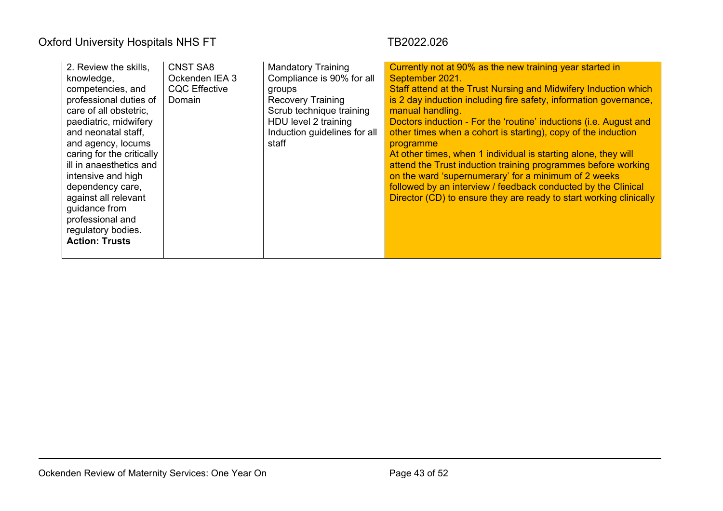| 2. Review the skills,<br>knowledge,<br>competencies, and<br>professional duties of<br>care of all obstetric.<br>paediatric, midwifery<br>and neonatal staff,<br>and agency, locums<br>caring for the critically<br>ill in anaesthetics and<br>intensive and high<br>dependency care,<br>against all relevant<br>guidance from<br>professional and<br>regulatory bodies.<br><b>Action: Trusts</b> | <b>CNST SA8</b><br>Ockenden IEA 3<br><b>CQC Effective</b><br>Domain | <b>Mandatory Training</b><br>Compliance is 90% for all<br>groups<br><b>Recovery Training</b><br>Scrub technique training<br>HDU level 2 training<br>Induction guidelines for all<br>staff | Currently not at 90% as the new training year started in<br>September 2021.<br>Staff attend at the Trust Nursing and Midwifery Induction which<br>is 2 day induction including fire safety, information governance,<br>manual handling.<br>Doctors induction - For the 'routine' inductions (i.e. August and<br>other times when a cohort is starting), copy of the induction<br>programme<br>At other times, when 1 individual is starting alone, they will<br>attend the Trust induction training programmes before working<br>on the ward 'supernumerary' for a minimum of 2 weeks<br>followed by an interview / feedback conducted by the Clinical<br>Director (CD) to ensure they are ready to start working clinically |
|--------------------------------------------------------------------------------------------------------------------------------------------------------------------------------------------------------------------------------------------------------------------------------------------------------------------------------------------------------------------------------------------------|---------------------------------------------------------------------|-------------------------------------------------------------------------------------------------------------------------------------------------------------------------------------------|------------------------------------------------------------------------------------------------------------------------------------------------------------------------------------------------------------------------------------------------------------------------------------------------------------------------------------------------------------------------------------------------------------------------------------------------------------------------------------------------------------------------------------------------------------------------------------------------------------------------------------------------------------------------------------------------------------------------------|
|--------------------------------------------------------------------------------------------------------------------------------------------------------------------------------------------------------------------------------------------------------------------------------------------------------------------------------------------------------------------------------------------------|---------------------------------------------------------------------|-------------------------------------------------------------------------------------------------------------------------------------------------------------------------------------------|------------------------------------------------------------------------------------------------------------------------------------------------------------------------------------------------------------------------------------------------------------------------------------------------------------------------------------------------------------------------------------------------------------------------------------------------------------------------------------------------------------------------------------------------------------------------------------------------------------------------------------------------------------------------------------------------------------------------------|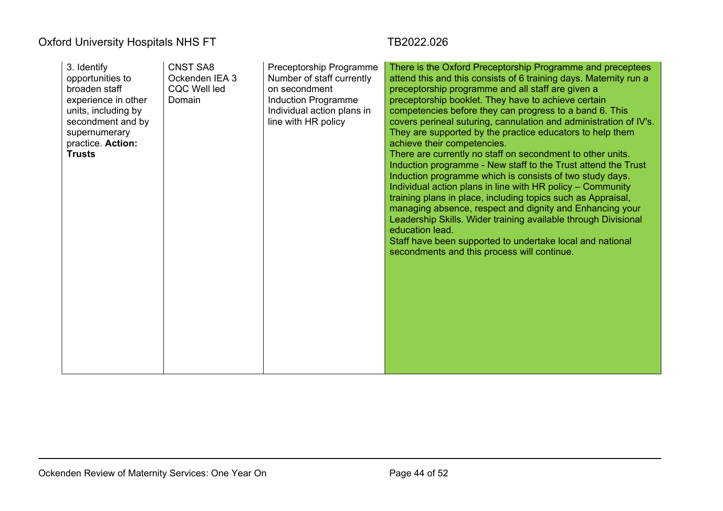| 3. Identify<br>opportunities to<br>broaden staff<br>experience in other<br>units, including by<br>secondment and by<br>supernumerary<br>practice. Action:<br><b>Trusts</b> | <b>CNST SA8</b><br>Ockenden IEA 3<br><b>CQC Well led</b><br>Domain | Preceptorship Programme<br>Number of staff currently<br>on secondment<br>Induction Programme<br>Individual action plans in<br>line with HR policy | There is the Oxford Preceptorship Programme and preceptees<br>attend this and this consists of 6 training days. Maternity run a<br>preceptorship programme and all staff are given a<br>preceptorship booklet. They have to achieve certain<br>competencies before they can progress to a band 6. This<br>covers perineal suturing, cannulation and administration of IV's.<br>They are supported by the practice educators to help them<br>achieve their competencies.<br>There are currently no staff on secondment to other units.<br>Induction programme - New staff to the Trust attend the Trust<br>Induction programme which is consists of two study days.<br>Individual action plans in line with HR policy - Community<br>training plans in place, including topics such as Appraisal,<br>managing absence, respect and dignity and Enhancing your<br>Leadership Skills. Wider training available through Divisional<br>education lead.<br>Staff have been supported to undertake local and national<br>secondments and this process will continue. |
|----------------------------------------------------------------------------------------------------------------------------------------------------------------------------|--------------------------------------------------------------------|---------------------------------------------------------------------------------------------------------------------------------------------------|---------------------------------------------------------------------------------------------------------------------------------------------------------------------------------------------------------------------------------------------------------------------------------------------------------------------------------------------------------------------------------------------------------------------------------------------------------------------------------------------------------------------------------------------------------------------------------------------------------------------------------------------------------------------------------------------------------------------------------------------------------------------------------------------------------------------------------------------------------------------------------------------------------------------------------------------------------------------------------------------------------------------------------------------------------------|
|                                                                                                                                                                            |                                                                    |                                                                                                                                                   |                                                                                                                                                                                                                                                                                                                                                                                                                                                                                                                                                                                                                                                                                                                                                                                                                                                                                                                                                                                                                                                               |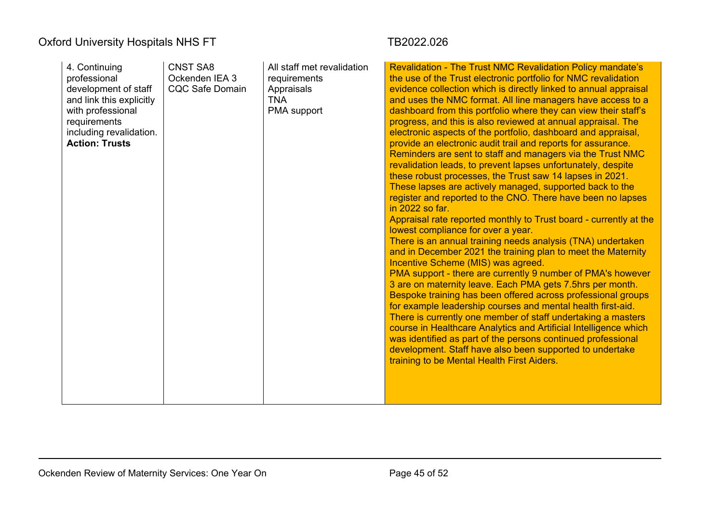| 4. Continuing<br>professional | <b>CNST SA8</b><br>Ockenden IEA 3 | All staff met revalidation<br>requirements | <b>Revalidation - The Trust NMC Revalidation Policy mandate's</b><br>the use of the Trust electronic portfolio for NMC revalidation |
|-------------------------------|-----------------------------------|--------------------------------------------|-------------------------------------------------------------------------------------------------------------------------------------|
| development of staff          | <b>CQC Safe Domain</b>            |                                            | evidence collection which is directly linked to annual appraisal                                                                    |
|                               |                                   | Appraisals<br><b>TNA</b>                   | and uses the NMC format. All line managers have access to a                                                                         |
| and link this explicitly      |                                   |                                            |                                                                                                                                     |
| with professional             |                                   | PMA support                                | dashboard from this portfolio where they can view their staff's                                                                     |
| requirements                  |                                   |                                            | progress, and this is also reviewed at annual appraisal. The                                                                        |
| including revalidation.       |                                   |                                            | electronic aspects of the portfolio, dashboard and appraisal,                                                                       |
| <b>Action: Trusts</b>         |                                   |                                            | provide an electronic audit trail and reports for assurance.                                                                        |
|                               |                                   |                                            | Reminders are sent to staff and managers via the Trust NMC                                                                          |
|                               |                                   |                                            | revalidation leads, to prevent lapses unfortunately, despite                                                                        |
|                               |                                   |                                            | these robust processes, the Trust saw 14 lapses in 2021.                                                                            |
|                               |                                   |                                            | These lapses are actively managed, supported back to the                                                                            |
|                               |                                   |                                            | register and reported to the CNO. There have been no lapses                                                                         |
|                               |                                   |                                            | in 2022 so far.                                                                                                                     |
|                               |                                   |                                            | Appraisal rate reported monthly to Trust board - currently at the                                                                   |
|                               |                                   |                                            | lowest compliance for over a year.                                                                                                  |
|                               |                                   |                                            | There is an annual training needs analysis (TNA) undertaken                                                                         |
|                               |                                   |                                            | and in December 2021 the training plan to meet the Maternity                                                                        |
|                               |                                   |                                            | Incentive Scheme (MIS) was agreed.                                                                                                  |
|                               |                                   |                                            | PMA support - there are currently 9 number of PMA's however                                                                         |
|                               |                                   |                                            | 3 are on maternity leave. Each PMA gets 7.5hrs per month.                                                                           |
|                               |                                   |                                            | Bespoke training has been offered across professional groups                                                                        |
|                               |                                   |                                            | for example leadership courses and mental health first-aid.                                                                         |
|                               |                                   |                                            | There is currently one member of staff undertaking a masters                                                                        |
|                               |                                   |                                            | course in Healthcare Analytics and Artificial Intelligence which                                                                    |
|                               |                                   |                                            | was identified as part of the persons continued professional                                                                        |
|                               |                                   |                                            | development. Staff have also been supported to undertake                                                                            |
|                               |                                   |                                            | training to be Mental Health First Aiders.                                                                                          |
|                               |                                   |                                            |                                                                                                                                     |
|                               |                                   |                                            |                                                                                                                                     |
|                               |                                   |                                            |                                                                                                                                     |
|                               |                                   |                                            |                                                                                                                                     |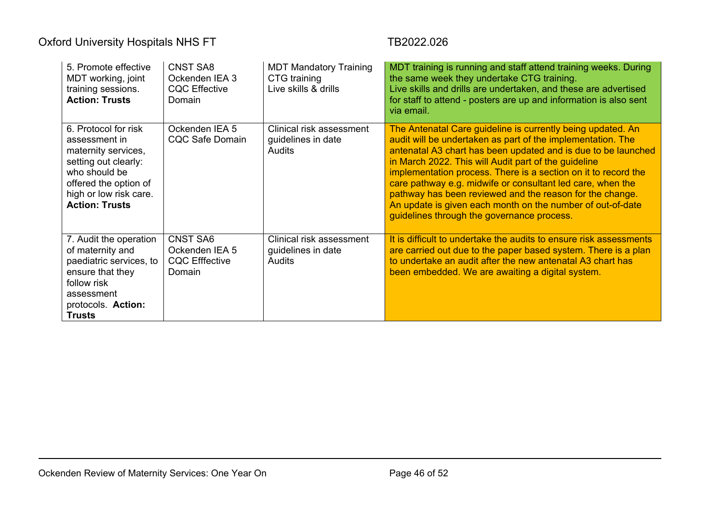| 5. Promote effective<br>MDT working, joint<br>training sessions.<br><b>Action: Trusts</b>                                                                                         | <b>CNST SA8</b><br>Ockenden IEA 3<br><b>CQC Effective</b><br>Domain  | <b>MDT Mandatory Training</b><br>CTG training<br>Live skills & drills | MDT training is running and staff attend training weeks. During<br>the same week they undertake CTG training.<br>Live skills and drills are undertaken, and these are advertised<br>for staff to attend - posters are up and information is also sent<br>via email.                                                                                                                                                                                                                                                                                         |
|-----------------------------------------------------------------------------------------------------------------------------------------------------------------------------------|----------------------------------------------------------------------|-----------------------------------------------------------------------|-------------------------------------------------------------------------------------------------------------------------------------------------------------------------------------------------------------------------------------------------------------------------------------------------------------------------------------------------------------------------------------------------------------------------------------------------------------------------------------------------------------------------------------------------------------|
| 6. Protocol for risk<br>assessment in<br>maternity services,<br>setting out clearly:<br>who should be<br>offered the option of<br>high or low risk care.<br><b>Action: Trusts</b> | Ockenden IEA 5<br><b>CQC Safe Domain</b>                             | Clinical risk assessment<br>guidelines in date<br><b>Audits</b>       | The Antenatal Care guideline is currently being updated. An<br>audit will be undertaken as part of the implementation. The<br>antenatal A3 chart has been updated and is due to be launched<br>in March 2022. This will Audit part of the guideline<br>implementation process. There is a section on it to record the<br>care pathway e.g. midwife or consultant led care, when the<br>pathway has been reviewed and the reason for the change.<br>An update is given each month on the number of out-of-date<br>guidelines through the governance process. |
| 7. Audit the operation<br>of maternity and<br>paediatric services, to<br>ensure that they<br>follow risk<br>assessment<br>protocols. Action:<br><b>Trusts</b>                     | <b>CNST SA6</b><br>Ockenden IEA 5<br><b>CQC Efffective</b><br>Domain | Clinical risk assessment<br>guidelines in date<br><b>Audits</b>       | It is difficult to undertake the audits to ensure risk assessments<br>are carried out due to the paper based system. There is a plan<br>to undertake an audit after the new antenatal A3 chart has<br>been embedded. We are awaiting a digital system.                                                                                                                                                                                                                                                                                                      |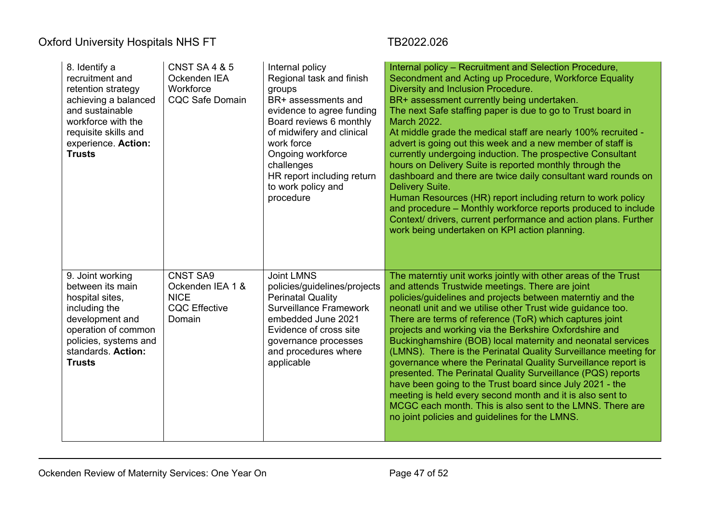| 8. Identify a<br>recruitment and<br>retention strategy<br>achieving a balanced<br>and sustainable<br>workforce with the<br>requisite skills and<br>experience. Action:<br><b>Trusts</b> | <b>CNST SA 4 &amp; 5</b><br>Ockenden IEA<br>Workforce<br><b>CQC Safe Domain</b>      | Internal policy<br>Regional task and finish<br>groups<br>BR+ assessments and<br>evidence to agree funding<br>Board reviews 6 monthly<br>of midwifery and clinical<br>work force<br>Ongoing workforce<br>challenges<br>HR report including return<br>to work policy and<br>procedure | Internal policy - Recruitment and Selection Procedure,<br>Secondment and Acting up Procedure, Workforce Equality<br>Diversity and Inclusion Procedure.<br>BR+ assessment currently being undertaken.<br>The next Safe staffing paper is due to go to Trust board in<br><b>March 2022.</b><br>At middle grade the medical staff are nearly 100% recruited -<br>advert is going out this week and a new member of staff is<br>currently undergoing induction. The prospective Consultant<br>hours on Delivery Suite is reported monthly through the<br>dashboard and there are twice daily consultant ward rounds on<br>Delivery Suite.<br>Human Resources (HR) report including return to work policy<br>and procedure - Monthly workforce reports produced to include<br>Context/ drivers, current performance and action plans. Further<br>work being undertaken on KPI action planning. |
|-----------------------------------------------------------------------------------------------------------------------------------------------------------------------------------------|--------------------------------------------------------------------------------------|-------------------------------------------------------------------------------------------------------------------------------------------------------------------------------------------------------------------------------------------------------------------------------------|-------------------------------------------------------------------------------------------------------------------------------------------------------------------------------------------------------------------------------------------------------------------------------------------------------------------------------------------------------------------------------------------------------------------------------------------------------------------------------------------------------------------------------------------------------------------------------------------------------------------------------------------------------------------------------------------------------------------------------------------------------------------------------------------------------------------------------------------------------------------------------------------|
| 9. Joint working<br>between its main<br>hospital sites,<br>including the<br>development and<br>operation of common<br>policies, systems and<br>standards. Action:<br><b>Trusts</b>      | <b>CNST SA9</b><br>Ockenden IEA 1 &<br><b>NICE</b><br><b>CQC</b> Effective<br>Domain | <b>Joint LMNS</b><br>policies/guidelines/projects<br><b>Perinatal Quality</b><br><b>Surveillance Framework</b><br>embedded June 2021<br>Evidence of cross site<br>governance processes<br>and procedures where<br>applicable                                                        | The materntiy unit works jointly with other areas of the Trust<br>and attends Trustwide meetings. There are joint<br>policies/guidelines and projects between materntiy and the<br>neonatl unit and we utilise other Trust wide guidance too.<br>There are terms of reference (ToR) which captures joint<br>projects and working via the Berkshire Oxfordshire and<br>Buckinghamshire (BOB) local maternity and neonatal services<br>(LMNS). There is the Perinatal Quality Surveillance meeting for<br>governance where the Perinatal Quality Surveillance report is<br>presented. The Perinatal Quality Surveillance (PQS) reports<br>have been going to the Trust board since July 2021 - the<br>meeting is held every second month and it is also sent to<br>MCGC each month. This is also sent to the LMNS. There are<br>no joint policies and guidelines for the LMNS.              |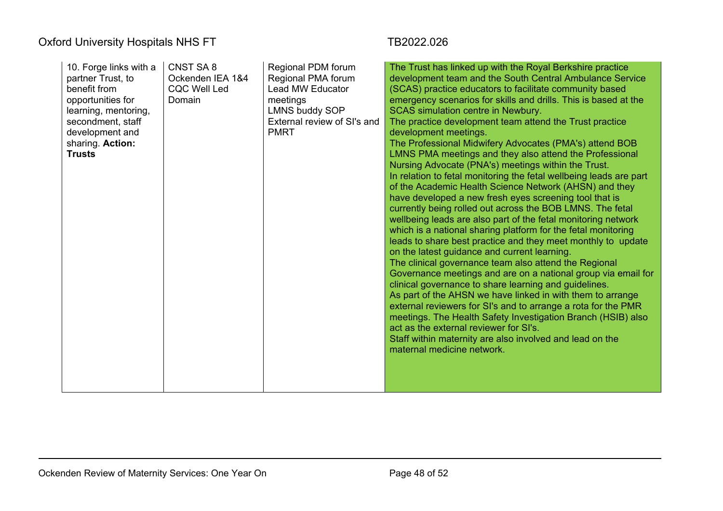| 10. Forge links with a<br>partner Trust, to<br>benefit from<br>opportunities for<br>learning, mentoring,<br>secondment, staff<br>development and<br>sharing. Action:<br><b>Trusts</b> | CNST SA8<br>Ockenden IEA 1&4<br><b>CQC Well Led</b><br>Domain | Regional PDM forum<br>Regional PMA forum<br><b>Lead MW Educator</b><br>meetings<br><b>LMNS buddy SOP</b><br>External review of SI's and<br><b>PMRT</b> | The Trust has linked up with the Royal Berkshire practice<br>development team and the South Central Ambulance Service<br>(SCAS) practice educators to facilitate community based<br>emergency scenarios for skills and drills. This is based at the<br><b>SCAS simulation centre in Newbury.</b><br>The practice development team attend the Trust practice<br>development meetings.<br>The Professional Midwifery Advocates (PMA's) attend BOB<br>LMNS PMA meetings and they also attend the Professional<br>Nursing Advocate (PNA's) meetings within the Trust.<br>In relation to fetal monitoring the fetal wellbeing leads are part<br>of the Academic Health Science Network (AHSN) and they<br>have developed a new fresh eyes screening tool that is<br>currently being rolled out across the BOB LMNS. The fetal<br>wellbeing leads are also part of the fetal monitoring network<br>which is a national sharing platform for the fetal monitoring<br>leads to share best practice and they meet monthly to update<br>on the latest guidance and current learning.<br>The clinical governance team also attend the Regional<br>Governance meetings and are on a national group via email for<br>clinical governance to share learning and guidelines.<br>As part of the AHSN we have linked in with them to arrange<br>external reviewers for SI's and to arrange a rota for the PMR<br>meetings. The Health Safety Investigation Branch (HSIB) also<br>act as the external reviewer for SI's.<br>Staff within maternity are also involved and lead on the<br>maternal medicine network. |
|---------------------------------------------------------------------------------------------------------------------------------------------------------------------------------------|---------------------------------------------------------------|--------------------------------------------------------------------------------------------------------------------------------------------------------|--------------------------------------------------------------------------------------------------------------------------------------------------------------------------------------------------------------------------------------------------------------------------------------------------------------------------------------------------------------------------------------------------------------------------------------------------------------------------------------------------------------------------------------------------------------------------------------------------------------------------------------------------------------------------------------------------------------------------------------------------------------------------------------------------------------------------------------------------------------------------------------------------------------------------------------------------------------------------------------------------------------------------------------------------------------------------------------------------------------------------------------------------------------------------------------------------------------------------------------------------------------------------------------------------------------------------------------------------------------------------------------------------------------------------------------------------------------------------------------------------------------------------------------------------------------------------------------------------|
|---------------------------------------------------------------------------------------------------------------------------------------------------------------------------------------|---------------------------------------------------------------|--------------------------------------------------------------------------------------------------------------------------------------------------------|--------------------------------------------------------------------------------------------------------------------------------------------------------------------------------------------------------------------------------------------------------------------------------------------------------------------------------------------------------------------------------------------------------------------------------------------------------------------------------------------------------------------------------------------------------------------------------------------------------------------------------------------------------------------------------------------------------------------------------------------------------------------------------------------------------------------------------------------------------------------------------------------------------------------------------------------------------------------------------------------------------------------------------------------------------------------------------------------------------------------------------------------------------------------------------------------------------------------------------------------------------------------------------------------------------------------------------------------------------------------------------------------------------------------------------------------------------------------------------------------------------------------------------------------------------------------------------------------------|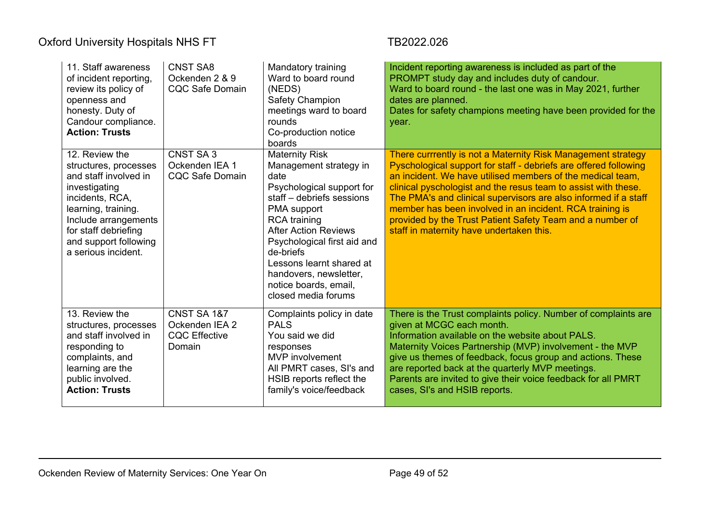| 11. Staff awareness<br>of incident reporting,<br>review its policy of<br>openness and<br>honesty. Duty of<br>Candour compliance.<br><b>Action: Trusts</b>                                                                   | <b>CNST SA8</b><br>Ockenden 2 & 9<br><b>CQC Safe Domain</b>     | Mandatory training<br>Ward to board round<br>(NEDS)<br><b>Safety Champion</b><br>meetings ward to board<br>rounds<br>Co-production notice<br>boards                                                                                                                                                                                      | Incident reporting awareness is included as part of the<br>PROMPT study day and includes duty of candour.<br>Ward to board round - the last one was in May 2021, further<br>dates are planned.<br>Dates for safety champions meeting have been provided for the<br>year.                                                                                                                                                                                                                                 |
|-----------------------------------------------------------------------------------------------------------------------------------------------------------------------------------------------------------------------------|-----------------------------------------------------------------|------------------------------------------------------------------------------------------------------------------------------------------------------------------------------------------------------------------------------------------------------------------------------------------------------------------------------------------|----------------------------------------------------------------------------------------------------------------------------------------------------------------------------------------------------------------------------------------------------------------------------------------------------------------------------------------------------------------------------------------------------------------------------------------------------------------------------------------------------------|
| 12. Review the<br>structures, processes<br>and staff involved in<br>investigating<br>incidents, RCA,<br>learning, training.<br>Include arrangements<br>for staff debriefing<br>and support following<br>a serious incident. | CNST SA3<br>Ockenden IEA 1<br><b>CQC Safe Domain</b>            | <b>Maternity Risk</b><br>Management strategy in<br>date<br>Psychological support for<br>staff - debriefs sessions<br>PMA support<br><b>RCA</b> training<br><b>After Action Reviews</b><br>Psychological first aid and<br>de-briefs<br>Lessons learnt shared at<br>handovers, newsletter,<br>notice boards, email,<br>closed media forums | There currrently is not a Maternity Risk Management strategy<br>Pyschological support for staff - debriefs are offered following<br>an incident. We have utilised members of the medical team,<br>clinical pyschologist and the resus team to assist with these.<br>The PMA's and clinical supervisors are also informed if a staff<br>member has been involved in an incident. RCA training is<br>provided by the Trust Patient Safety Team and a number of<br>staff in maternity have undertaken this. |
| 13. Review the<br>structures, processes<br>and staff involved in<br>responding to<br>complaints, and<br>learning are the<br>public involved.<br><b>Action: Trusts</b>                                                       | CNST SA 1&7<br>Ockenden IEA 2<br><b>CQC Effective</b><br>Domain | Complaints policy in date<br><b>PALS</b><br>You said we did<br>responses<br><b>MVP</b> involvement<br>All PMRT cases, SI's and<br>HSIB reports reflect the<br>family's voice/feedback                                                                                                                                                    | There is the Trust complaints policy. Number of complaints are<br>given at MCGC each month.<br>Information available on the website about PALS.<br>Maternity Voices Partnership (MVP) involvement - the MVP<br>give us themes of feedback, focus group and actions. These<br>are reported back at the quarterly MVP meetings.<br>Parents are invited to give their voice feedback for all PMRT<br>cases, SI's and HSIB reports.                                                                          |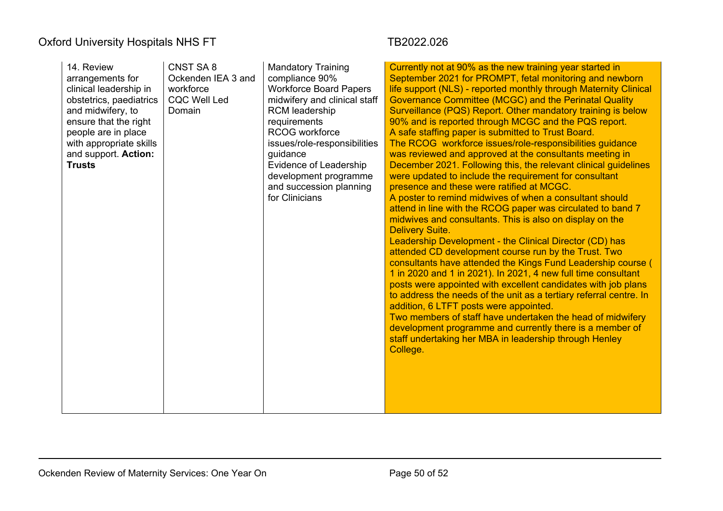| 14. Review<br>arrangements for<br>clinical leadership in<br>obstetrics, paediatrics<br>and midwifery, to<br>ensure that the right<br>people are in place<br>with appropriate skills<br>and support. Action:<br><b>Trusts</b> | CNST SA 8<br>Ockenden IEA 3 and<br>workforce<br><b>CQC Well Led</b><br>Domain | <b>Mandatory Training</b><br>compliance 90%<br><b>Workforce Board Papers</b><br>midwifery and clinical staff<br><b>RCM</b> leadership<br>requirements<br>RCOG workforce<br>issues/role-responsibilities<br>guidance<br>Evidence of Leadership<br>development programme<br>and succession planning<br>for Clinicians | Currently not at 90% as the new training year started in<br>September 2021 for PROMPT, fetal monitoring and newborn<br>life support (NLS) - reported monthly through Maternity Clinical<br>Governance Committee (MCGC) and the Perinatal Quality<br>Surveillance (PQS) Report. Other mandatory training is below<br>90% and is reported through MCGC and the PQS report.<br>A safe staffing paper is submitted to Trust Board.<br>The RCOG workforce issues/role-responsibilities guidance<br>was reviewed and approved at the consultants meeting in<br>December 2021. Following this, the relevant clinical guidelines<br>were updated to include the requirement for consultant<br>presence and these were ratified at MCGC.<br>A poster to remind midwives of when a consultant should<br>attend in line with the RCOG paper was circulated to band 7<br>midwives and consultants. This is also on display on the<br><b>Delivery Suite.</b><br>Leadership Development - the Clinical Director (CD) has<br>attended CD development course run by the Trust. Two<br>consultants have attended the Kings Fund Leadership course (<br>1 in 2020 and 1 in 2021). In 2021, 4 new full time consultant<br>posts were appointed with excellent candidates with job plans<br>to address the needs of the unit as a tertiary referral centre. In<br>addition, 6 LTFT posts were appointed.<br>Two members of staff have undertaken the head of midwifery<br>development programme and currently there is a member of<br>staff undertaking her MBA in leadership through Henley<br>College. |
|------------------------------------------------------------------------------------------------------------------------------------------------------------------------------------------------------------------------------|-------------------------------------------------------------------------------|---------------------------------------------------------------------------------------------------------------------------------------------------------------------------------------------------------------------------------------------------------------------------------------------------------------------|--------------------------------------------------------------------------------------------------------------------------------------------------------------------------------------------------------------------------------------------------------------------------------------------------------------------------------------------------------------------------------------------------------------------------------------------------------------------------------------------------------------------------------------------------------------------------------------------------------------------------------------------------------------------------------------------------------------------------------------------------------------------------------------------------------------------------------------------------------------------------------------------------------------------------------------------------------------------------------------------------------------------------------------------------------------------------------------------------------------------------------------------------------------------------------------------------------------------------------------------------------------------------------------------------------------------------------------------------------------------------------------------------------------------------------------------------------------------------------------------------------------------------------------------------------------------------------------|
|                                                                                                                                                                                                                              |                                                                               |                                                                                                                                                                                                                                                                                                                     |                                                                                                                                                                                                                                                                                                                                                                                                                                                                                                                                                                                                                                                                                                                                                                                                                                                                                                                                                                                                                                                                                                                                                                                                                                                                                                                                                                                                                                                                                                                                                                                      |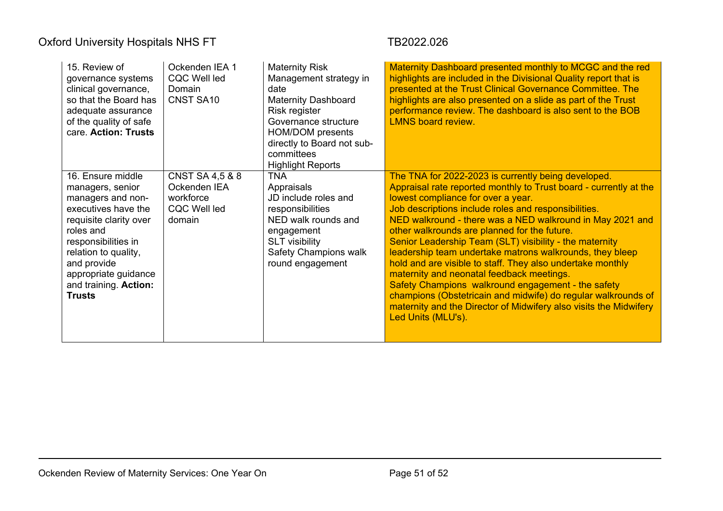| 15. Review of<br>governance systems<br>clinical governance,<br>so that the Board has<br>adequate assurance<br>of the quality of safe<br>care. Action: Trusts                                                                                             | Ockenden IEA 1<br><b>CQC Well led</b><br>Domain<br><b>CNST SA10</b>                      | <b>Maternity Risk</b><br>Management strategy in<br>date<br><b>Maternity Dashboard</b><br>Risk register<br>Governance structure<br><b>HOM/DOM</b> presents<br>directly to Board not sub-<br>committees<br><b>Highlight Reports</b> | Maternity Dashboard presented monthly to MCGC and the red<br>highlights are included in the Divisional Quality report that is<br>presented at the Trust Clinical Governance Committee. The<br>highlights are also presented on a slide as part of the Trust<br>performance review. The dashboard is also sent to the BOB<br><b>LMNS board review.</b>                                                                                                                                                                                                                                                                                                                                                                                                                                   |
|----------------------------------------------------------------------------------------------------------------------------------------------------------------------------------------------------------------------------------------------------------|------------------------------------------------------------------------------------------|-----------------------------------------------------------------------------------------------------------------------------------------------------------------------------------------------------------------------------------|-----------------------------------------------------------------------------------------------------------------------------------------------------------------------------------------------------------------------------------------------------------------------------------------------------------------------------------------------------------------------------------------------------------------------------------------------------------------------------------------------------------------------------------------------------------------------------------------------------------------------------------------------------------------------------------------------------------------------------------------------------------------------------------------|
| 16. Ensure middle<br>managers, senior<br>managers and non-<br>executives have the<br>requisite clarity over<br>roles and<br>responsibilities in<br>relation to quality,<br>and provide<br>appropriate guidance<br>and training. Action:<br><b>Trusts</b> | <b>CNST SA 4,5 &amp; 8</b><br>Ockenden IEA<br>workforce<br><b>CQC Well led</b><br>domain | <b>TNA</b><br>Appraisals<br>JD include roles and<br>responsibilities<br>NED walk rounds and<br>engagement<br><b>SLT</b> visibility<br><b>Safety Champions walk</b><br>round engagement                                            | The TNA for 2022-2023 is currently being developed.<br>Appraisal rate reported monthly to Trust board - currently at the<br>lowest compliance for over a year.<br>Job descriptions include roles and responsibilities.<br>NED walkround - there was a NED walkround in May 2021 and<br>other walkrounds are planned for the future.<br>Senior Leadership Team (SLT) visibility - the maternity<br>leadership team undertake matrons walkrounds, they bleep<br>hold and are visible to staff. They also undertake monthly<br>maternity and neonatal feedback meetings.<br>Safety Champions walkround engagement - the safety<br>champions (Obstetricain and midwife) do regular walkrounds of<br>maternity and the Director of Midwifery also visits the Midwifery<br>Led Units (MLU's). |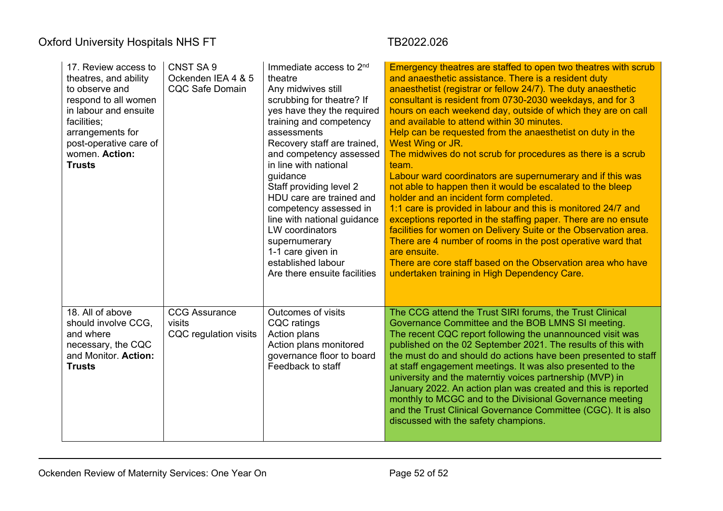| 17. Review access to<br>theatres, and ability<br>to observe and<br>respond to all women<br>in labour and ensuite<br>facilities;<br>arrangements for<br>post-operative care of<br>women. Action:<br><b>Trusts</b> | CNST SA 9<br>Ockenden IEA 4 & 5<br><b>CQC Safe Domain</b> | Immediate access to 2 <sup>nd</sup><br>theatre<br>Any midwives still<br>scrubbing for theatre? If<br>yes have they the required<br>training and competency<br>assessments<br>Recovery staff are trained,<br>and competency assessed<br>in line with national<br>guidance<br>Staff providing level 2<br>HDU care are trained and<br>competency assessed in<br>line with national guidance<br><b>LW</b> coordinators<br>supernumerary<br>1-1 care given in<br>established labour<br>Are there ensuite facilities | Emergency theatres are staffed to open two theatres with scrub<br>and anaesthetic assistance. There is a resident duty<br>anaesthetist (registrar or fellow 24/7). The duty anaesthetic<br>consultant is resident from 0730-2030 weekdays, and for 3<br>hours on each weekend day, outside of which they are on call<br>and available to attend within 30 minutes.<br>Help can be requested from the anaesthetist on duty in the<br>West Wing or JR.<br>The midwives do not scrub for procedures as there is a scrub<br>team.<br>Labour ward coordinators are supernumerary and if this was<br>not able to happen then it would be escalated to the bleep<br>holder and an incident form completed.<br>1:1 care is provided in labour and this is monitored 24/7 and<br>exceptions reported in the staffing paper. There are no ensute<br>facilities for women on Delivery Suite or the Observation area.<br>There are 4 number of rooms in the post operative ward that<br>are ensuite.<br>There are core staff based on the Observation area who have<br>undertaken training in High Dependency Care. |
|------------------------------------------------------------------------------------------------------------------------------------------------------------------------------------------------------------------|-----------------------------------------------------------|----------------------------------------------------------------------------------------------------------------------------------------------------------------------------------------------------------------------------------------------------------------------------------------------------------------------------------------------------------------------------------------------------------------------------------------------------------------------------------------------------------------|---------------------------------------------------------------------------------------------------------------------------------------------------------------------------------------------------------------------------------------------------------------------------------------------------------------------------------------------------------------------------------------------------------------------------------------------------------------------------------------------------------------------------------------------------------------------------------------------------------------------------------------------------------------------------------------------------------------------------------------------------------------------------------------------------------------------------------------------------------------------------------------------------------------------------------------------------------------------------------------------------------------------------------------------------------------------------------------------------------|
| 18. All of above<br>should involve CCG,<br>and where<br>necessary, the CQC<br>and Monitor. Action:<br><b>Trusts</b>                                                                                              | <b>CCG Assurance</b><br>visits<br>CQC regulation visits   | Outcomes of visits<br><b>CQC</b> ratings<br>Action plans<br>Action plans monitored<br>governance floor to board<br>Feedback to staff                                                                                                                                                                                                                                                                                                                                                                           | The CCG attend the Trust SIRI forums, the Trust Clinical<br>Governance Committee and the BOB LMNS SI meeting.<br>The recent CQC report following the unannounced visit was<br>published on the 02 September 2021. The results of this with<br>the must do and should do actions have been presented to staff<br>at staff engagement meetings. It was also presented to the<br>university and the materntiy voices partnership (MVP) in<br>January 2022. An action plan was created and this is reported<br>monthly to MCGC and to the Divisional Governance meeting<br>and the Trust Clinical Governance Committee (CGC). It is also<br>discussed with the safety champions.                                                                                                                                                                                                                                                                                                                                                                                                                            |